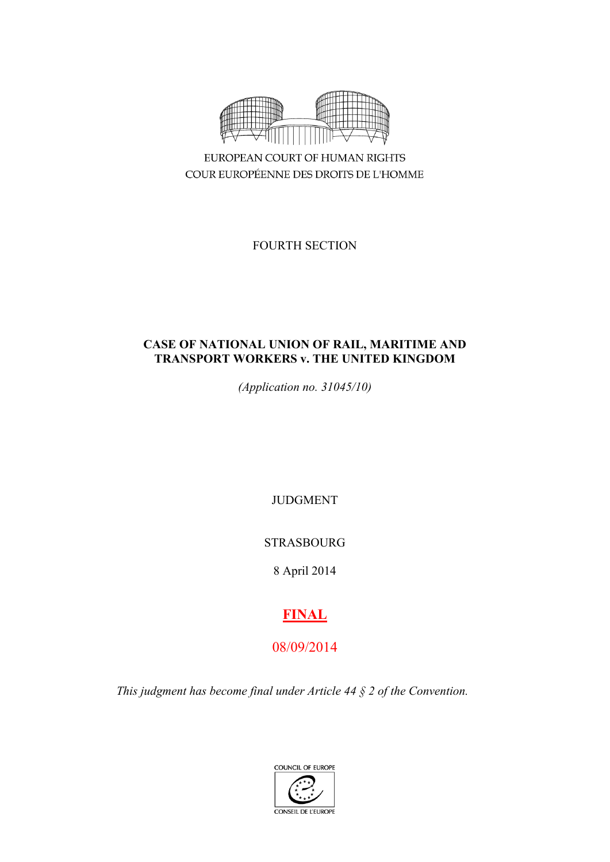

EUROPEAN COURT OF HUMAN RIGHTS COUR EUROPÉENNE DES DROITS DE L'HOMME

FOURTH SECTION

# **CASE OF NATIONAL UNION OF RAIL, MARITIME AND TRANSPORT WORKERS v. THE UNITED KINGDOM**

*(Application no. 31045/10)*

JUDGMENT

STRASBOURG

8 April 2014

# **FINAL**

# 08/09/2014

*This judgment has become final under Article 44 § 2 of the Convention.*

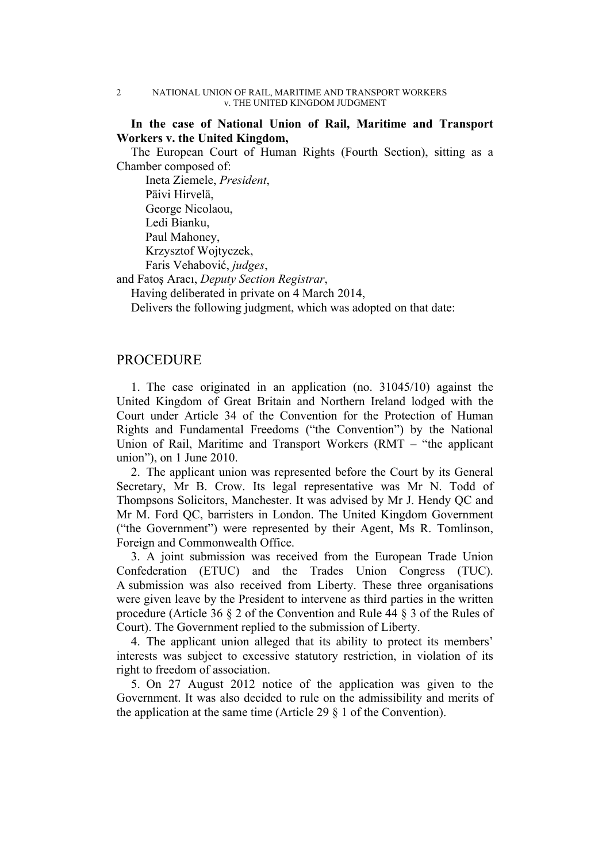### **In the case of National Union of Rail, Maritime and Transport Workers v. the United Kingdom,**

The European Court of Human Rights (Fourth Section), sitting as a Chamber composed of:

Ineta Ziemele, *President*, Päivi Hirvelä, George Nicolaou, Ledi Bianku, Paul Mahoney, Krzysztof Wojtyczek, Faris Vehabović, *judges*,

and Fatoş Aracı, *Deputy Section Registrar*,

Having deliberated in private on 4 March 2014,

Delivers the following judgment, which was adopted on that date:

### PROCEDURE

1. The case originated in an application (no. 31045/10) against the United Kingdom of Great Britain and Northern Ireland lodged with the Court under Article 34 of the Convention for the Protection of Human Rights and Fundamental Freedoms ("the Convention") by the National Union of Rail, Maritime and Transport Workers (RMT – "the applicant union"), on 1 June 2010.

2. The applicant union was represented before the Court by its General Secretary, Mr B. Crow. Its legal representative was Mr N. Todd of Thompsons Solicitors, Manchester. It was advised by Mr J. Hendy QC and Mr M. Ford QC, barristers in London. The United Kingdom Government ("the Government") were represented by their Agent, Ms R. Tomlinson, Foreign and Commonwealth Office.

3. A joint submission was received from the European Trade Union Confederation (ETUC) and the Trades Union Congress (TUC). A submission was also received from Liberty. These three organisations were given leave by the President to intervene as third parties in the written procedure (Article 36 § 2 of the Convention and Rule 44 § 3 of the Rules of Court). The Government replied to the submission of Liberty.

4. The applicant union alleged that its ability to protect its members' interests was subject to excessive statutory restriction, in violation of its right to freedom of association.

5. On 27 August 2012 notice of the application was given to the Government. It was also decided to rule on the admissibility and merits of the application at the same time (Article 29 § 1 of the Convention).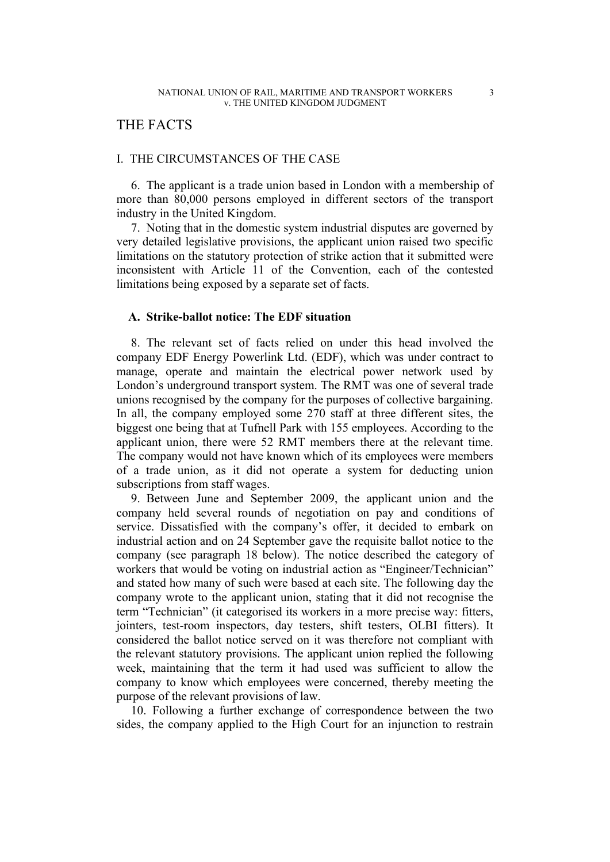# THE FACTS

### I. THE CIRCUMSTANCES OF THE CASE

6. The applicant is a trade union based in London with a membership of more than 80,000 persons employed in different sectors of the transport industry in the United Kingdom.

7. Noting that in the domestic system industrial disputes are governed by very detailed legislative provisions, the applicant union raised two specific limitations on the statutory protection of strike action that it submitted were inconsistent with Article 11 of the Convention, each of the contested limitations being exposed by a separate set of facts.

### **A. Strike-ballot notice: The EDF situation**

8. The relevant set of facts relied on under this head involved the company EDF Energy Powerlink Ltd. (EDF), which was under contract to manage, operate and maintain the electrical power network used by London's underground transport system. The RMT was one of several trade unions recognised by the company for the purposes of collective bargaining. In all, the company employed some 270 staff at three different sites, the biggest one being that at Tufnell Park with 155 employees. According to the applicant union, there were 52 RMT members there at the relevant time. The company would not have known which of its employees were members of a trade union, as it did not operate a system for deducting union subscriptions from staff wages.

9. Between June and September 2009, the applicant union and the company held several rounds of negotiation on pay and conditions of service. Dissatisfied with the company's offer, it decided to embark on industrial action and on 24 September gave the requisite ballot notice to the company (see paragraph 18 below). The notice described the category of workers that would be voting on industrial action as "Engineer/Technician" and stated how many of such were based at each site. The following day the company wrote to the applicant union, stating that it did not recognise the term "Technician" (it categorised its workers in a more precise way: fitters, jointers, test-room inspectors, day testers, shift testers, OLBI fitters). It considered the ballot notice served on it was therefore not compliant with the relevant statutory provisions. The applicant union replied the following week, maintaining that the term it had used was sufficient to allow the company to know which employees were concerned, thereby meeting the purpose of the relevant provisions of law.

10. Following a further exchange of correspondence between the two sides, the company applied to the High Court for an injunction to restrain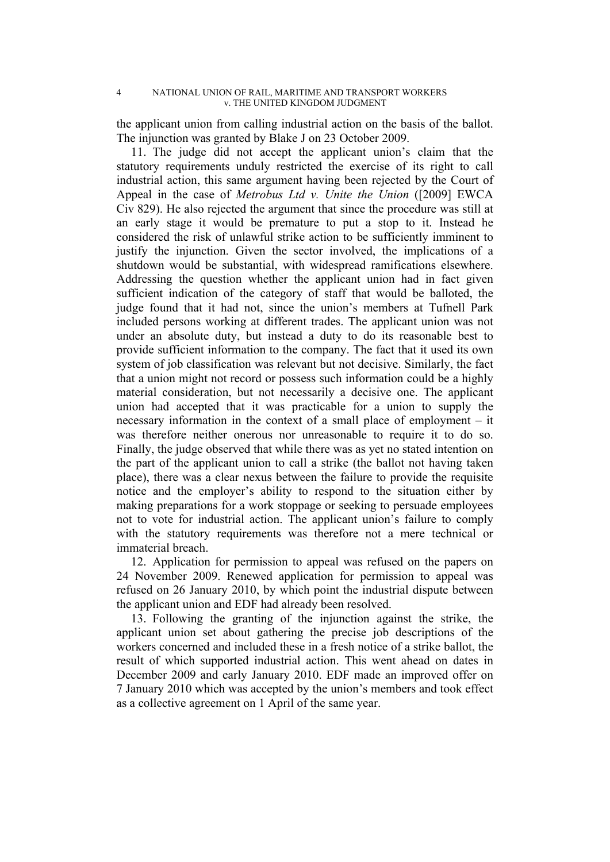the applicant union from calling industrial action on the basis of the ballot. The injunction was granted by Blake J on 23 October 2009.

11. The judge did not accept the applicant union's claim that the statutory requirements unduly restricted the exercise of its right to call industrial action, this same argument having been rejected by the Court of Appeal in the case of *Metrobus Ltd v. Unite the Union* ([2009] EWCA Civ 829). He also rejected the argument that since the procedure was still at an early stage it would be premature to put a stop to it. Instead he considered the risk of unlawful strike action to be sufficiently imminent to justify the injunction. Given the sector involved, the implications of a shutdown would be substantial, with widespread ramifications elsewhere. Addressing the question whether the applicant union had in fact given sufficient indication of the category of staff that would be balloted, the judge found that it had not, since the union's members at Tufnell Park included persons working at different trades. The applicant union was not under an absolute duty, but instead a duty to do its reasonable best to provide sufficient information to the company. The fact that it used its own system of job classification was relevant but not decisive. Similarly, the fact that a union might not record or possess such information could be a highly material consideration, but not necessarily a decisive one. The applicant union had accepted that it was practicable for a union to supply the necessary information in the context of a small place of employment – it was therefore neither onerous nor unreasonable to require it to do so. Finally, the judge observed that while there was as yet no stated intention on the part of the applicant union to call a strike (the ballot not having taken place), there was a clear nexus between the failure to provide the requisite notice and the employer's ability to respond to the situation either by making preparations for a work stoppage or seeking to persuade employees not to vote for industrial action. The applicant union's failure to comply with the statutory requirements was therefore not a mere technical or immaterial breach.

12. Application for permission to appeal was refused on the papers on 24 November 2009. Renewed application for permission to appeal was refused on 26 January 2010, by which point the industrial dispute between the applicant union and EDF had already been resolved.

13. Following the granting of the injunction against the strike, the applicant union set about gathering the precise job descriptions of the workers concerned and included these in a fresh notice of a strike ballot, the result of which supported industrial action. This went ahead on dates in December 2009 and early January 2010. EDF made an improved offer on 7 January 2010 which was accepted by the union's members and took effect as a collective agreement on 1 April of the same year.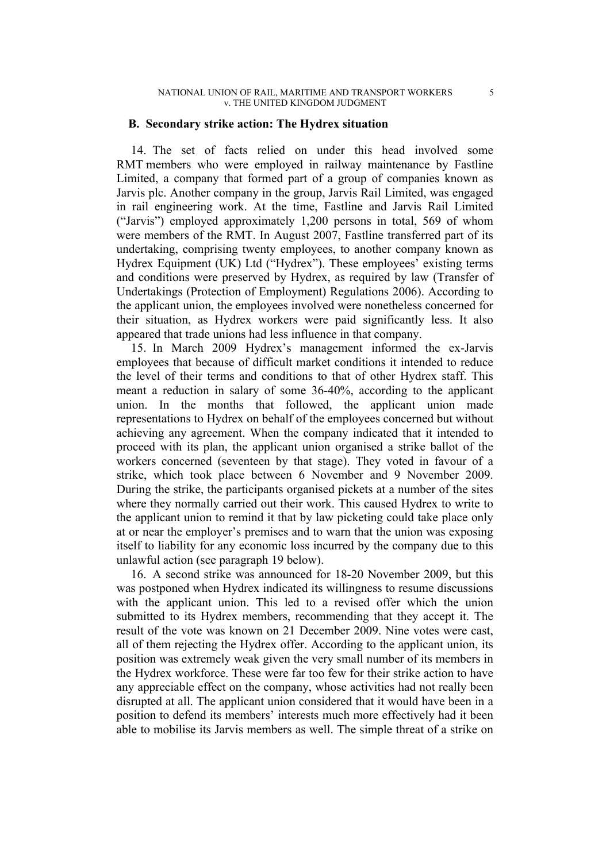### **B. Secondary strike action: The Hydrex situation**

14. The set of facts relied on under this head involved some RMT members who were employed in railway maintenance by Fastline Limited, a company that formed part of a group of companies known as Jarvis plc. Another company in the group, Jarvis Rail Limited, was engaged in rail engineering work. At the time, Fastline and Jarvis Rail Limited ("Jarvis") employed approximately 1,200 persons in total, 569 of whom were members of the RMT. In August 2007, Fastline transferred part of its undertaking, comprising twenty employees, to another company known as Hydrex Equipment (UK) Ltd ("Hydrex"). These employees' existing terms and conditions were preserved by Hydrex, as required by law (Transfer of Undertakings (Protection of Employment) Regulations 2006). According to the applicant union, the employees involved were nonetheless concerned for their situation, as Hydrex workers were paid significantly less. It also appeared that trade unions had less influence in that company.

15. In March 2009 Hydrex's management informed the ex-Jarvis employees that because of difficult market conditions it intended to reduce the level of their terms and conditions to that of other Hydrex staff. This meant a reduction in salary of some 36-40%, according to the applicant union. In the months that followed, the applicant union made representations to Hydrex on behalf of the employees concerned but without achieving any agreement. When the company indicated that it intended to proceed with its plan, the applicant union organised a strike ballot of the workers concerned (seventeen by that stage). They voted in favour of a strike, which took place between 6 November and 9 November 2009. During the strike, the participants organised pickets at a number of the sites where they normally carried out their work. This caused Hydrex to write to the applicant union to remind it that by law picketing could take place only at or near the employer's premises and to warn that the union was exposing itself to liability for any economic loss incurred by the company due to this unlawful action (see paragraph 19 below).

16. A second strike was announced for 18-20 November 2009, but this was postponed when Hydrex indicated its willingness to resume discussions with the applicant union. This led to a revised offer which the union submitted to its Hydrex members, recommending that they accept it. The result of the vote was known on 21 December 2009. Nine votes were cast, all of them rejecting the Hydrex offer. According to the applicant union, its position was extremely weak given the very small number of its members in the Hydrex workforce. These were far too few for their strike action to have any appreciable effect on the company, whose activities had not really been disrupted at all. The applicant union considered that it would have been in a position to defend its members' interests much more effectively had it been able to mobilise its Jarvis members as well. The simple threat of a strike on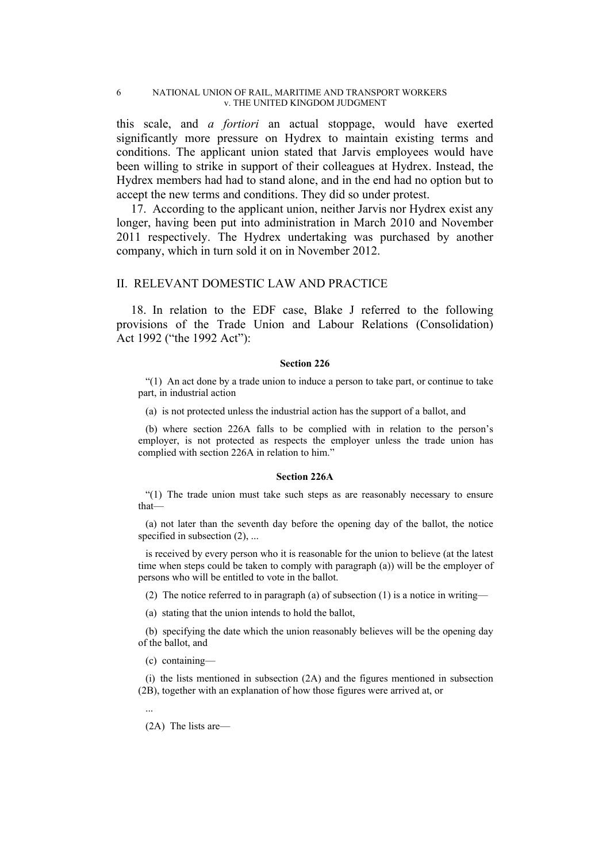this scale, and *a fortiori* an actual stoppage, would have exerted significantly more pressure on Hydrex to maintain existing terms and conditions. The applicant union stated that Jarvis employees would have been willing to strike in support of their colleagues at Hydrex. Instead, the Hydrex members had had to stand alone, and in the end had no option but to accept the new terms and conditions. They did so under protest.

17. According to the applicant union, neither Jarvis nor Hydrex exist any longer, having been put into administration in March 2010 and November 2011 respectively. The Hydrex undertaking was purchased by another company, which in turn sold it on in November 2012.

### II. RELEVANT DOMESTIC LAW AND PRACTICE

18. In relation to the EDF case, Blake J referred to the following provisions of the Trade Union and Labour Relations (Consolidation) Act 1992 ("the 1992 Act"):

#### **Section 226**

"(1) An act done by a trade union to induce a person to take part, or continue to take part, in industrial action

(a) is not protected unless the industrial action has the support of a ballot, and

(b) where section 226A falls to be complied with in relation to the person's employer, is not protected as respects the employer unless the trade union has complied with section 226A in relation to him."

#### **Section 226A**

"(1) The trade union must take such steps as are reasonably necessary to ensure that—

(a) not later than the seventh day before the opening day of the ballot, the notice specified in subsection  $(2)$ , ...

is received by every person who it is reasonable for the union to believe (at the latest time when steps could be taken to comply with paragraph (a)) will be the employer of persons who will be entitled to vote in the ballot.

(2) The notice referred to in paragraph (a) of subsection (1) is a notice in writing—

(a) stating that the union intends to hold the ballot,

(b) specifying the date which the union reasonably believes will be the opening day of the ballot, and

(c) containing—

(i) the lists mentioned in subsection (2A) and the figures mentioned in subsection (2B), together with an explanation of how those figures were arrived at, or

...

(2A) The lists are—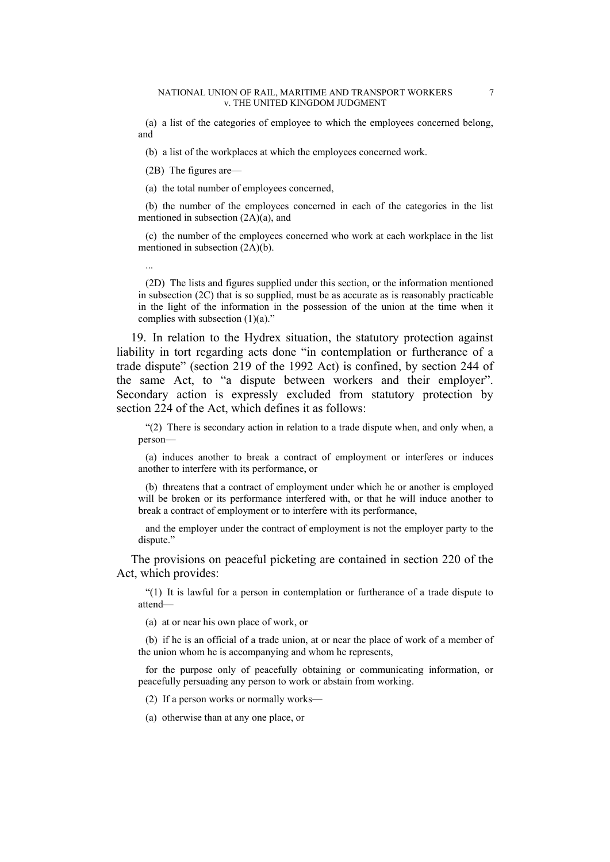(a) a list of the categories of employee to which the employees concerned belong, and

(b) a list of the workplaces at which the employees concerned work.

(2B) The figures are—

...

(a) the total number of employees concerned,

(b) the number of the employees concerned in each of the categories in the list mentioned in subsection (2A)(a), and

(c) the number of the employees concerned who work at each workplace in the list mentioned in subsection (2A)(b).

(2D) The lists and figures supplied under this section, or the information mentioned in subsection (2C) that is so supplied, must be as accurate as is reasonably practicable in the light of the information in the possession of the union at the time when it complies with subsection (1)(a)."

19. In relation to the Hydrex situation, the statutory protection against liability in tort regarding acts done "in contemplation or furtherance of a trade dispute" (section 219 of the 1992 Act) is confined, by section 244 of the same Act, to "a dispute between workers and their employer". Secondary action is expressly excluded from statutory protection by section 224 of the Act, which defines it as follows:

"(2) There is secondary action in relation to a trade dispute when, and only when, a person—

(a) induces another to break a contract of employment or interferes or induces another to interfere with its performance, or

(b) threatens that a contract of employment under which he or another is employed will be broken or its performance interfered with, or that he will induce another to break a contract of employment or to interfere with its performance,

and the employer under the contract of employment is not the employer party to the dispute."

The provisions on peaceful picketing are contained in section 220 of the Act, which provides:

"(1) It is lawful for a person in contemplation or furtherance of a trade dispute to attend—

(a) at or near his own place of work, or

(b) if he is an official of a trade union, at or near the place of work of a member of the union whom he is accompanying and whom he represents,

for the purpose only of peacefully obtaining or communicating information, or peacefully persuading any person to work or abstain from working.

(2) If a person works or normally works—

(a) otherwise than at any one place, or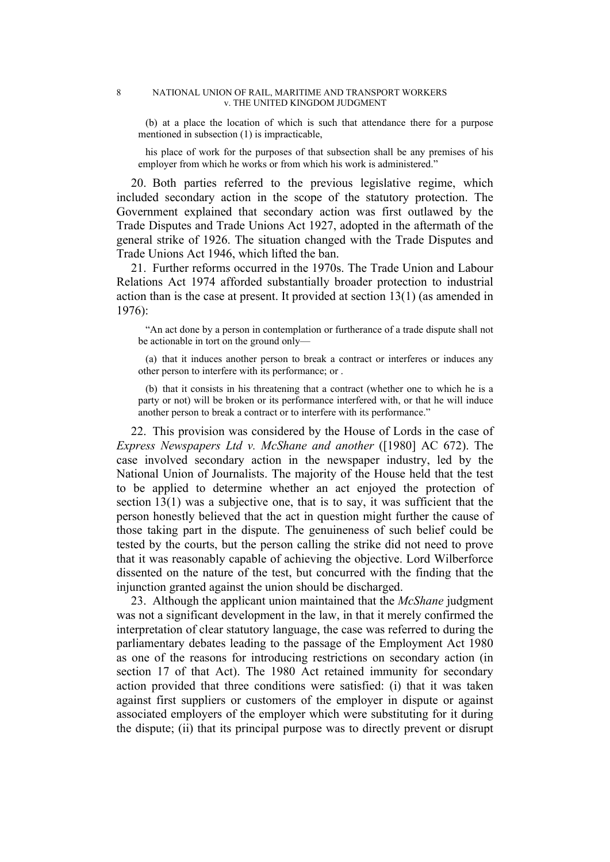(b) at a place the location of which is such that attendance there for a purpose mentioned in subsection (1) is impracticable,

his place of work for the purposes of that subsection shall be any premises of his employer from which he works or from which his work is administered."

20. Both parties referred to the previous legislative regime, which included secondary action in the scope of the statutory protection. The Government explained that secondary action was first outlawed by the Trade Disputes and Trade Unions Act 1927, adopted in the aftermath of the general strike of 1926. The situation changed with the Trade Disputes and Trade Unions Act 1946, which lifted the ban.

21. Further reforms occurred in the 1970s. The Trade Union and Labour Relations Act 1974 afforded substantially broader protection to industrial action than is the case at present. It provided at section 13(1) (as amended in 1976):

"An act done by a person in contemplation or furtherance of a trade dispute shall not be actionable in tort on the ground only—

(a) that it induces another person to break a contract or interferes or induces any other person to interfere with its performance; or .

(b) that it consists in his threatening that a contract (whether one to which he is a party or not) will be broken or its performance interfered with, or that he will induce another person to break a contract or to interfere with its performance."

22. This provision was considered by the House of Lords in the case of *Express Newspapers Ltd v. McShane and another* ([1980] AC 672). The case involved secondary action in the newspaper industry, led by the National Union of Journalists. The majority of the House held that the test to be applied to determine whether an act enjoyed the protection of section 13(1) was a subjective one, that is to say, it was sufficient that the person honestly believed that the act in question might further the cause of those taking part in the dispute. The genuineness of such belief could be tested by the courts, but the person calling the strike did not need to prove that it was reasonably capable of achieving the objective. Lord Wilberforce dissented on the nature of the test, but concurred with the finding that the injunction granted against the union should be discharged.

23. Although the applicant union maintained that the *McShane* judgment was not a significant development in the law, in that it merely confirmed the interpretation of clear statutory language, the case was referred to during the parliamentary debates leading to the passage of the Employment Act 1980 as one of the reasons for introducing restrictions on secondary action (in section 17 of that Act). The 1980 Act retained immunity for secondary action provided that three conditions were satisfied: (i) that it was taken against first suppliers or customers of the employer in dispute or against associated employers of the employer which were substituting for it during the dispute; (ii) that its principal purpose was to directly prevent or disrupt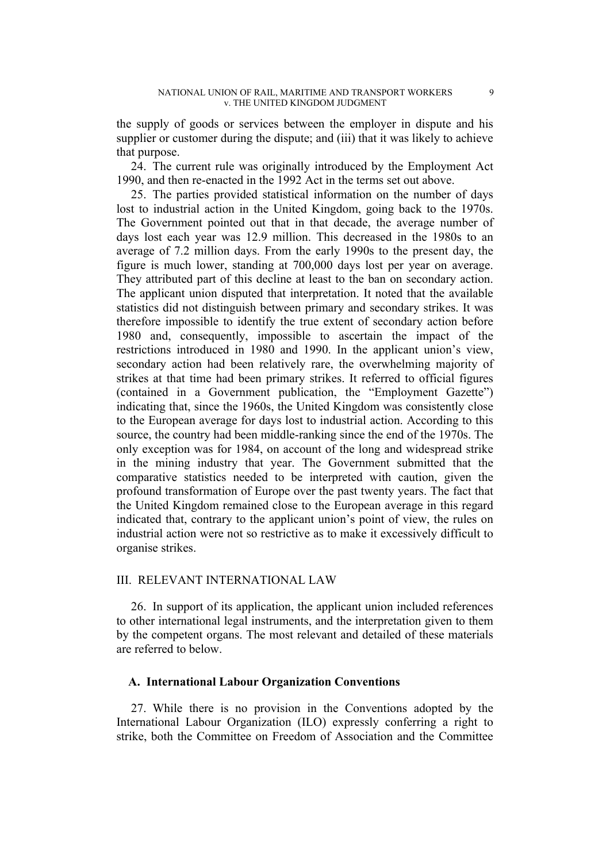the supply of goods or services between the employer in dispute and his supplier or customer during the dispute; and (iii) that it was likely to achieve that purpose.

24. The current rule was originally introduced by the Employment Act 1990, and then re-enacted in the 1992 Act in the terms set out above.

25. The parties provided statistical information on the number of days lost to industrial action in the United Kingdom, going back to the 1970s. The Government pointed out that in that decade, the average number of days lost each year was 12.9 million. This decreased in the 1980s to an average of 7.2 million days. From the early 1990s to the present day, the figure is much lower, standing at 700,000 days lost per year on average. They attributed part of this decline at least to the ban on secondary action. The applicant union disputed that interpretation. It noted that the available statistics did not distinguish between primary and secondary strikes. It was therefore impossible to identify the true extent of secondary action before 1980 and, consequently, impossible to ascertain the impact of the restrictions introduced in 1980 and 1990. In the applicant union's view, secondary action had been relatively rare, the overwhelming majority of strikes at that time had been primary strikes. It referred to official figures (contained in a Government publication, the "Employment Gazette") indicating that, since the 1960s, the United Kingdom was consistently close to the European average for days lost to industrial action. According to this source, the country had been middle-ranking since the end of the 1970s. The only exception was for 1984, on account of the long and widespread strike in the mining industry that year. The Government submitted that the comparative statistics needed to be interpreted with caution, given the profound transformation of Europe over the past twenty years. The fact that the United Kingdom remained close to the European average in this regard indicated that, contrary to the applicant union's point of view, the rules on industrial action were not so restrictive as to make it excessively difficult to organise strikes.

# III. RELEVANT INTERNATIONAL LAW

26. In support of its application, the applicant union included references to other international legal instruments, and the interpretation given to them by the competent organs. The most relevant and detailed of these materials are referred to below.

# **A. International Labour Organization Conventions**

27. While there is no provision in the Conventions adopted by the International Labour Organization (ILO) expressly conferring a right to strike, both the Committee on Freedom of Association and the Committee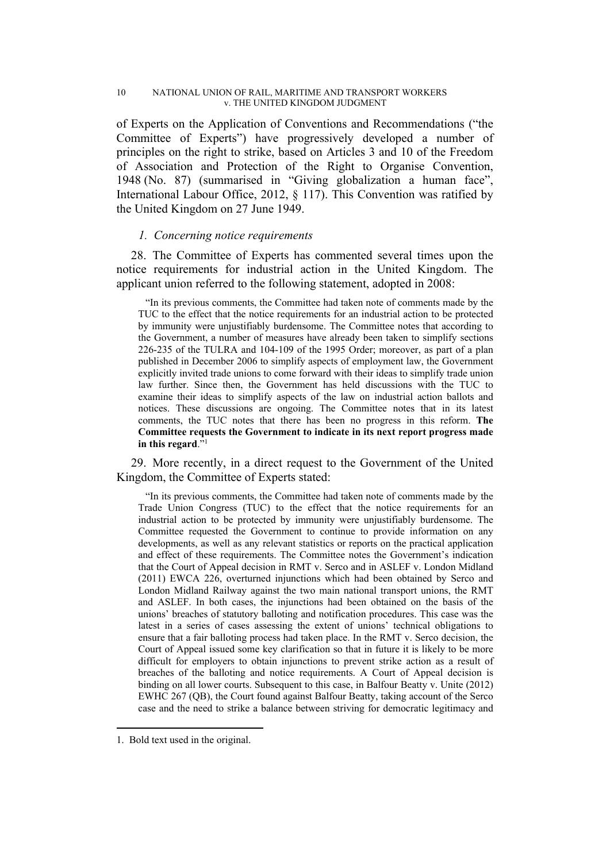of Experts on the Application of Conventions and Recommendations ("the Committee of Experts") have progressively developed a number of principles on the right to strike, based on Articles 3 and 10 of the Freedom of Association and Protection of the Right to Organise Convention, 1948 (No. 87) (summarised in "Giving globalization a human face", International Labour Office, 2012, § 117). This Convention was ratified by the United Kingdom on 27 June 1949.

### *1. Concerning notice requirements*

28. The Committee of Experts has commented several times upon the notice requirements for industrial action in the United Kingdom. The applicant union referred to the following statement, adopted in 2008:

"In its previous comments, the Committee had taken note of comments made by the TUC to the effect that the notice requirements for an industrial action to be protected by immunity were unjustifiably burdensome. The Committee notes that according to the Government, a number of measures have already been taken to simplify sections 226-235 of the TULRA and 104-109 of the 1995 Order; moreover, as part of a plan published in December 2006 to simplify aspects of employment law, the Government explicitly invited trade unions to come forward with their ideas to simplify trade union law further. Since then, the Government has held discussions with the TUC to examine their ideas to simplify aspects of the law on industrial action ballots and notices. These discussions are ongoing. The Committee notes that in its latest comments, the TUC notes that there has been no progress in this reform. **The Committee requests the Government to indicate in its next report progress made in this regard**."<sup>1</sup>

29. More recently, in a direct request to the Government of the United Kingdom, the Committee of Experts stated:

"In its previous comments, the Committee had taken note of comments made by the Trade Union Congress (TUC) to the effect that the notice requirements for an industrial action to be protected by immunity were unjustifiably burdensome. The Committee requested the Government to continue to provide information on any developments, as well as any relevant statistics or reports on the practical application and effect of these requirements. The Committee notes the Government's indication that the Court of Appeal decision in RMT v. Serco and in ASLEF v. London Midland (2011) EWCA 226, overturned injunctions which had been obtained by Serco and London Midland Railway against the two main national transport unions, the RMT and ASLEF. In both cases, the injunctions had been obtained on the basis of the unions' breaches of statutory balloting and notification procedures. This case was the latest in a series of cases assessing the extent of unions' technical obligations to ensure that a fair balloting process had taken place. In the RMT v. Serco decision, the Court of Appeal issued some key clarification so that in future it is likely to be more difficult for employers to obtain injunctions to prevent strike action as a result of breaches of the balloting and notice requirements. A Court of Appeal decision is binding on all lower courts. Subsequent to this case, in Balfour Beatty v. Unite (2012) EWHC 267 (QB), the Court found against Balfour Beatty, taking account of the Serco case and the need to strike a balance between striving for democratic legitimacy and

<sup>1.</sup> Bold text used in the original.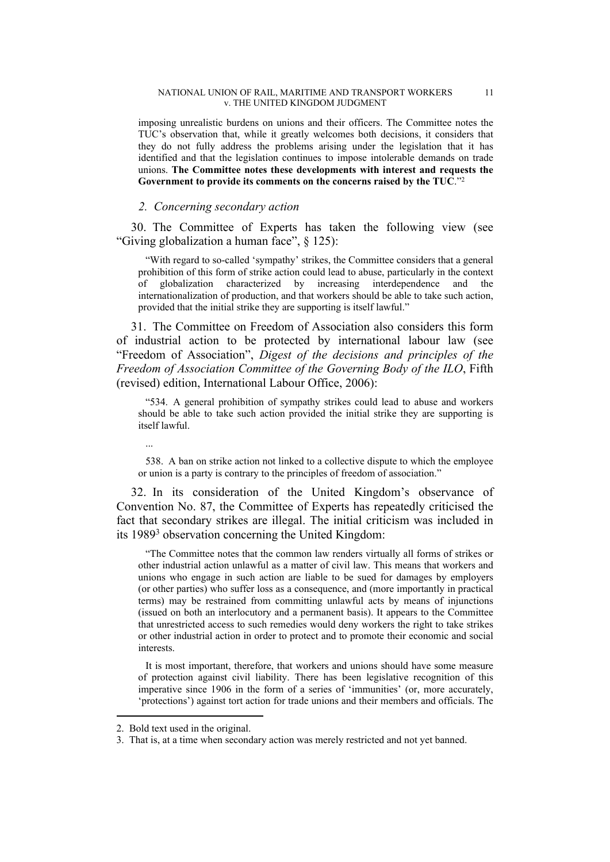imposing unrealistic burdens on unions and their officers. The Committee notes the TUC's observation that, while it greatly welcomes both decisions, it considers that they do not fully address the problems arising under the legislation that it has identified and that the legislation continues to impose intolerable demands on trade unions. **The Committee notes these developments with interest and requests the Government to provide its comments on the concerns raised by the TUC**."<sup>2</sup>

### *2. Concerning secondary action*

30. The Committee of Experts has taken the following view (see "Giving globalization a human face", § 125):

"With regard to so-called 'sympathy' strikes, the Committee considers that a general prohibition of this form of strike action could lead to abuse, particularly in the context of globalization characterized by increasing interdependence and the internationalization of production, and that workers should be able to take such action, provided that the initial strike they are supporting is itself lawful."

31. The Committee on Freedom of Association also considers this form of industrial action to be protected by international labour law (see "Freedom of Association", *Digest of the decisions and principles of the Freedom of Association Committee of the Governing Body of the ILO*, Fifth (revised) edition, International Labour Office, 2006):

"534. A general prohibition of sympathy strikes could lead to abuse and workers should be able to take such action provided the initial strike they are supporting is itself lawful.

...

538. A ban on strike action not linked to a collective dispute to which the employee or union is a party is contrary to the principles of freedom of association."

32. In its consideration of the United Kingdom's observance of Convention No. 87, the Committee of Experts has repeatedly criticised the fact that secondary strikes are illegal. The initial criticism was included in its 1989<sup>3</sup> observation concerning the United Kingdom:

"The Committee notes that the common law renders virtually all forms of strikes or other industrial action unlawful as a matter of civil law. This means that workers and unions who engage in such action are liable to be sued for damages by employers (or other parties) who suffer loss as a consequence, and (more importantly in practical terms) may be restrained from committing unlawful acts by means of injunctions (issued on both an interlocutory and a permanent basis). It appears to the Committee that unrestricted access to such remedies would deny workers the right to take strikes or other industrial action in order to protect and to promote their economic and social interests.

It is most important, therefore, that workers and unions should have some measure of protection against civil liability. There has been legislative recognition of this imperative since 1906 in the form of a series of 'immunities' (or, more accurately, 'protections') against tort action for trade unions and their members and officials. The

<sup>2.</sup> Bold text used in the original.

<sup>3.</sup> That is, at a time when secondary action was merely restricted and not yet banned.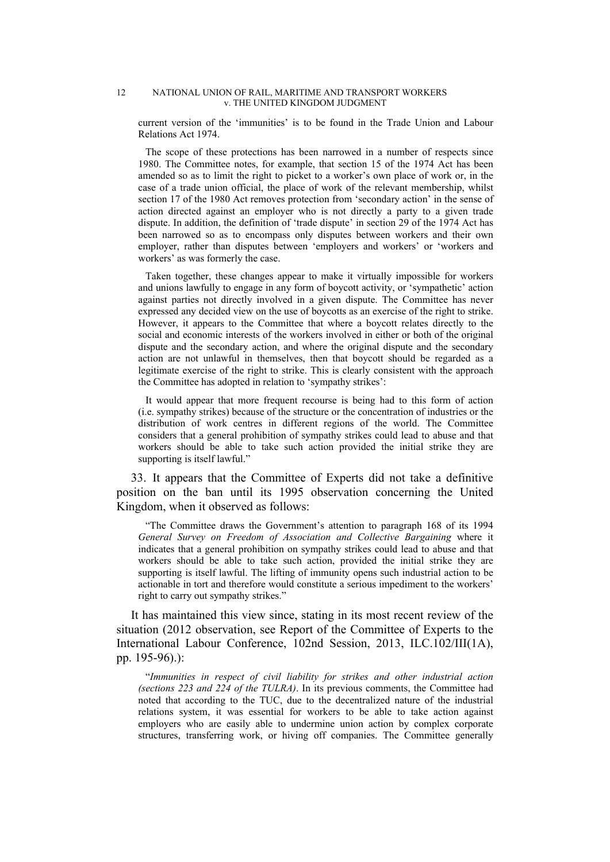current version of the 'immunities' is to be found in the Trade Union and Labour Relations Act 1974.

The scope of these protections has been narrowed in a number of respects since 1980. The Committee notes, for example, that section 15 of the 1974 Act has been amended so as to limit the right to picket to a worker's own place of work or, in the case of a trade union official, the place of work of the relevant membership, whilst section 17 of the 1980 Act removes protection from 'secondary action' in the sense of action directed against an employer who is not directly a party to a given trade dispute. In addition, the definition of 'trade dispute' in section 29 of the 1974 Act has been narrowed so as to encompass only disputes between workers and their own employer, rather than disputes between 'employers and workers' or 'workers and workers' as was formerly the case.

Taken together, these changes appear to make it virtually impossible for workers and unions lawfully to engage in any form of boycott activity, or 'sympathetic' action against parties not directly involved in a given dispute. The Committee has never expressed any decided view on the use of boycotts as an exercise of the right to strike. However, it appears to the Committee that where a boycott relates directly to the social and economic interests of the workers involved in either or both of the original dispute and the secondary action, and where the original dispute and the secondary action are not unlawful in themselves, then that boycott should be regarded as a legitimate exercise of the right to strike. This is clearly consistent with the approach the Committee has adopted in relation to 'sympathy strikes':

It would appear that more frequent recourse is being had to this form of action (i.e. sympathy strikes) because of the structure or the concentration of industries or the distribution of work centres in different regions of the world. The Committee considers that a general prohibition of sympathy strikes could lead to abuse and that workers should be able to take such action provided the initial strike they are supporting is itself lawful."

33. It appears that the Committee of Experts did not take a definitive position on the ban until its 1995 observation concerning the United Kingdom, when it observed as follows:

"The Committee draws the Government's attention to paragraph 168 of its 1994 *General Survey on Freedom of Association and Collective Bargaining* where it indicates that a general prohibition on sympathy strikes could lead to abuse and that workers should be able to take such action, provided the initial strike they are supporting is itself lawful. The lifting of immunity opens such industrial action to be actionable in tort and therefore would constitute a serious impediment to the workers' right to carry out sympathy strikes."

It has maintained this view since, stating in its most recent review of the situation (2012 observation, see Report of the Committee of Experts to the International Labour Conference, 102nd Session, 2013, ILC.102/III(1A), pp. 195-96).):

"*Immunities in respect of civil liability for strikes and other industrial action (sections 223 and 224 of the TULRA)*. In its previous comments, the Committee had noted that according to the TUC, due to the decentralized nature of the industrial relations system, it was essential for workers to be able to take action against employers who are easily able to undermine union action by complex corporate structures, transferring work, or hiving off companies. The Committee generally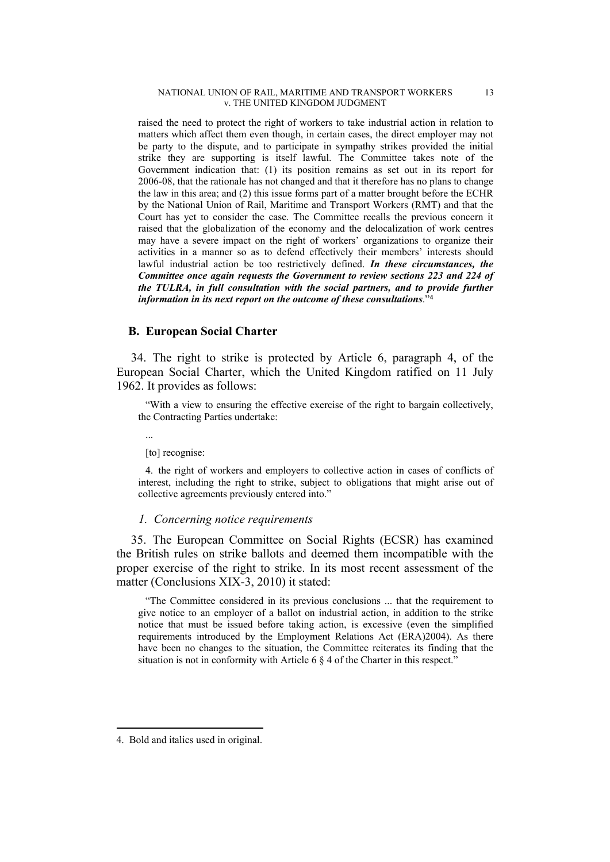raised the need to protect the right of workers to take industrial action in relation to matters which affect them even though, in certain cases, the direct employer may not be party to the dispute, and to participate in sympathy strikes provided the initial strike they are supporting is itself lawful. The Committee takes note of the Government indication that: (1) its position remains as set out in its report for 2006-08, that the rationale has not changed and that it therefore has no plans to change the law in this area; and (2) this issue forms part of a matter brought before the ECHR by the National Union of Rail, Maritime and Transport Workers (RMT) and that the Court has yet to consider the case. The Committee recalls the previous concern it raised that the globalization of the economy and the delocalization of work centres may have a severe impact on the right of workers' organizations to organize their activities in a manner so as to defend effectively their members' interests should lawful industrial action be too restrictively defined. *In these circumstances, the Committee once again requests the Government to review sections 223 and 224 of the TULRA, in full consultation with the social partners, and to provide further information in its next report on the outcome of these consultations*."<sup>4</sup>

### **B. European Social Charter**

34. The right to strike is protected by Article 6, paragraph 4, of the European Social Charter, which the United Kingdom ratified on 11 July 1962. It provides as follows:

"With a view to ensuring the effective exercise of the right to bargain collectively, the Contracting Parties undertake:

[to] recognise:

...

4. the right of workers and employers to collective action in cases of conflicts of interest, including the right to strike, subject to obligations that might arise out of collective agreements previously entered into."

### *1. Concerning notice requirements*

35. The European Committee on Social Rights (ECSR) has examined the British rules on strike ballots and deemed them incompatible with the proper exercise of the right to strike. In its most recent assessment of the matter (Conclusions XIX-3, 2010) it stated:

"The Committee considered in its previous conclusions ... that the requirement to give notice to an employer of a ballot on industrial action, in addition to the strike notice that must be issued before taking action, is excessive (even the simplified requirements introduced by the Employment Relations Act (ERA)2004). As there have been no changes to the situation, the Committee reiterates its finding that the situation is not in conformity with Article  $6 \nless 4$  of the Charter in this respect."

<sup>4.</sup> Bold and italics used in original.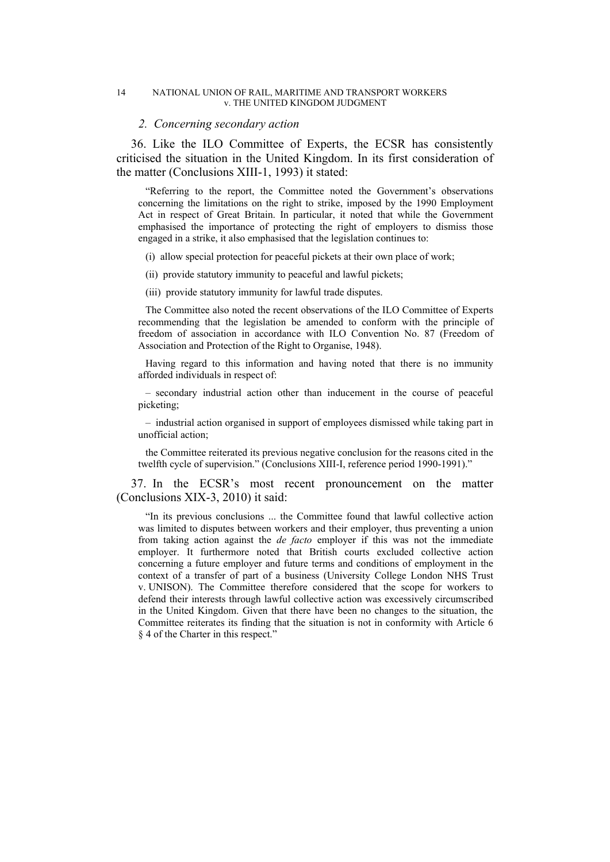### *2. Concerning secondary action*

36. Like the ILO Committee of Experts, the ECSR has consistently criticised the situation in the United Kingdom. In its first consideration of the matter (Conclusions XIII-1, 1993) it stated:

"Referring to the report, the Committee noted the Government's observations concerning the limitations on the right to strike, imposed by the 1990 Employment Act in respect of Great Britain. In particular, it noted that while the Government emphasised the importance of protecting the right of employers to dismiss those engaged in a strike, it also emphasised that the legislation continues to:

(i) allow special protection for peaceful pickets at their own place of work;

(ii) provide statutory immunity to peaceful and lawful pickets;

(iii) provide statutory immunity for lawful trade disputes.

The Committee also noted the recent observations of the ILO Committee of Experts recommending that the legislation be amended to conform with the principle of freedom of association in accordance with ILO Convention No. 87 (Freedom of Association and Protection of the Right to Organise, 1948).

Having regard to this information and having noted that there is no immunity afforded individuals in respect of:

– secondary industrial action other than inducement in the course of peaceful picketing;

– industrial action organised in support of employees dismissed while taking part in unofficial action;

the Committee reiterated its previous negative conclusion for the reasons cited in the twelfth cycle of supervision." (Conclusions XIII-I, reference period 1990-1991)."

37. In the ECSR's most recent pronouncement on the matter (Conclusions XIX-3, 2010) it said:

"In its previous conclusions ... the Committee found that lawful collective action was limited to disputes between workers and their employer, thus preventing a union from taking action against the *de facto* employer if this was not the immediate employer. It furthermore noted that British courts excluded collective action concerning a future employer and future terms and conditions of employment in the context of a transfer of part of a business (University College London NHS Trust v. UNISON). The Committee therefore considered that the scope for workers to defend their interests through lawful collective action was excessively circumscribed in the United Kingdom. Given that there have been no changes to the situation, the Committee reiterates its finding that the situation is not in conformity with Article 6 § 4 of the Charter in this respect."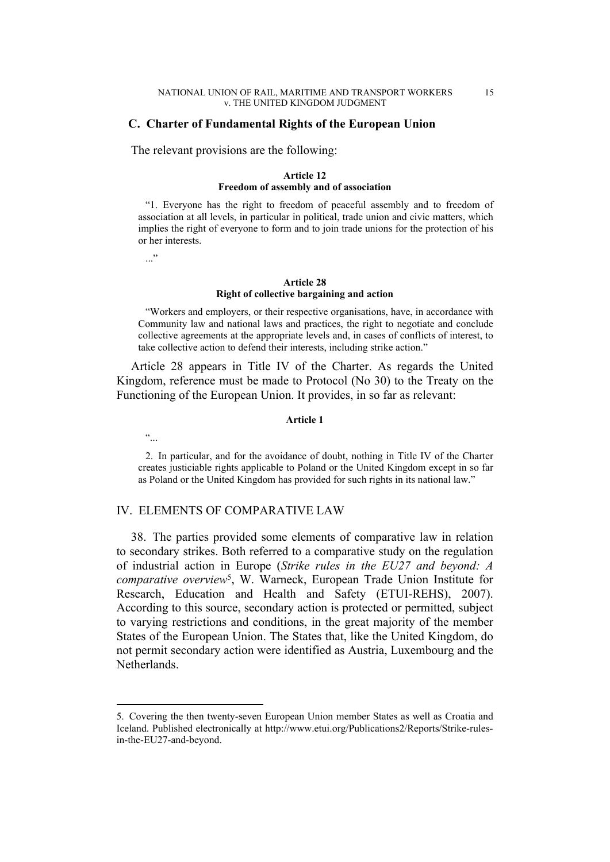### **C. Charter of Fundamental Rights of the European Union**

The relevant provisions are the following:

### **Article 12 Freedom of assembly and of association**

"1. Everyone has the right to freedom of peaceful assembly and to freedom of association at all levels, in particular in political, trade union and civic matters, which implies the right of everyone to form and to join trade unions for the protection of his or her interests.

 $\ddots$ "

### **Article 28 Right of collective bargaining and action**

"Workers and employers, or their respective organisations, have, in accordance with Community law and national laws and practices, the right to negotiate and conclude collective agreements at the appropriate levels and, in cases of conflicts of interest, to take collective action to defend their interests, including strike action."

Article 28 appears in Title IV of the Charter. As regards the United Kingdom, reference must be made to Protocol (No 30) to the Treaty on the Functioning of the European Union. It provides, in so far as relevant:

### **Article 1**

"...

2. In particular, and for the avoidance of doubt, nothing in Title IV of the Charter creates justiciable rights applicable to Poland or the United Kingdom except in so far as Poland or the United Kingdom has provided for such rights in its national law."

### IV. ELEMENTS OF COMPARATIVE LAW

38. The parties provided some elements of comparative law in relation to secondary strikes. Both referred to a comparative study on the regulation of industrial action in Europe (*Strike rules in the EU27 and beyond: A comparative overview*<sup>5</sup> , W. Warneck, European Trade Union Institute for Research, Education and Health and Safety (ETUI-REHS), 2007). According to this source, secondary action is protected or permitted, subject to varying restrictions and conditions, in the great majority of the member States of the European Union. The States that, like the United Kingdom, do not permit secondary action were identified as Austria, Luxembourg and the Netherlands.

<sup>5.</sup> Covering the then twenty-seven European Union member States as well as Croatia and Iceland. Published electronically at http://www.etui.org/Publications2/Reports/Strike-rulesin-the-EU27-and-beyond.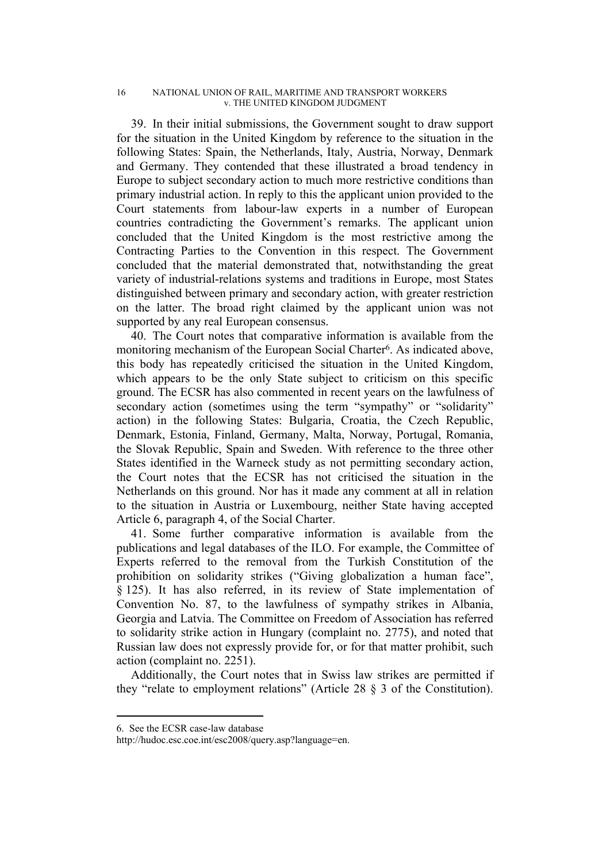39. In their initial submissions, the Government sought to draw support for the situation in the United Kingdom by reference to the situation in the following States: Spain, the Netherlands, Italy, Austria, Norway, Denmark and Germany. They contended that these illustrated a broad tendency in Europe to subject secondary action to much more restrictive conditions than primary industrial action. In reply to this the applicant union provided to the Court statements from labour-law experts in a number of European countries contradicting the Government's remarks. The applicant union concluded that the United Kingdom is the most restrictive among the Contracting Parties to the Convention in this respect. The Government concluded that the material demonstrated that, notwithstanding the great variety of industrial-relations systems and traditions in Europe, most States distinguished between primary and secondary action, with greater restriction on the latter. The broad right claimed by the applicant union was not supported by any real European consensus.

40. The Court notes that comparative information is available from the monitoring mechanism of the European Social Charter<sup>6</sup>. As indicated above, this body has repeatedly criticised the situation in the United Kingdom, which appears to be the only State subject to criticism on this specific ground. The ECSR has also commented in recent years on the lawfulness of secondary action (sometimes using the term "sympathy" or "solidarity" action) in the following States: Bulgaria, Croatia, the Czech Republic, Denmark, Estonia, Finland, Germany, Malta, Norway, Portugal, Romania, the Slovak Republic, Spain and Sweden. With reference to the three other States identified in the Warneck study as not permitting secondary action, the Court notes that the ECSR has not criticised the situation in the Netherlands on this ground. Nor has it made any comment at all in relation to the situation in Austria or Luxembourg, neither State having accepted Article 6, paragraph 4, of the Social Charter.

41. Some further comparative information is available from the publications and legal databases of the ILO. For example, the Committee of Experts referred to the removal from the Turkish Constitution of the prohibition on solidarity strikes ("Giving globalization a human face", § 125). It has also referred, in its review of State implementation of Convention No. 87, to the lawfulness of sympathy strikes in Albania, Georgia and Latvia. The Committee on Freedom of Association has referred to solidarity strike action in Hungary (complaint no. 2775), and noted that Russian law does not expressly provide for, or for that matter prohibit, such action (complaint no. 2251).

Additionally, the Court notes that in Swiss law strikes are permitted if they "relate to employment relations" (Article 28 § 3 of the Constitution).

<sup>6.</sup> See the ECSR case-law database

http://hudoc.esc.coe.int/esc2008/query.asp?language=en.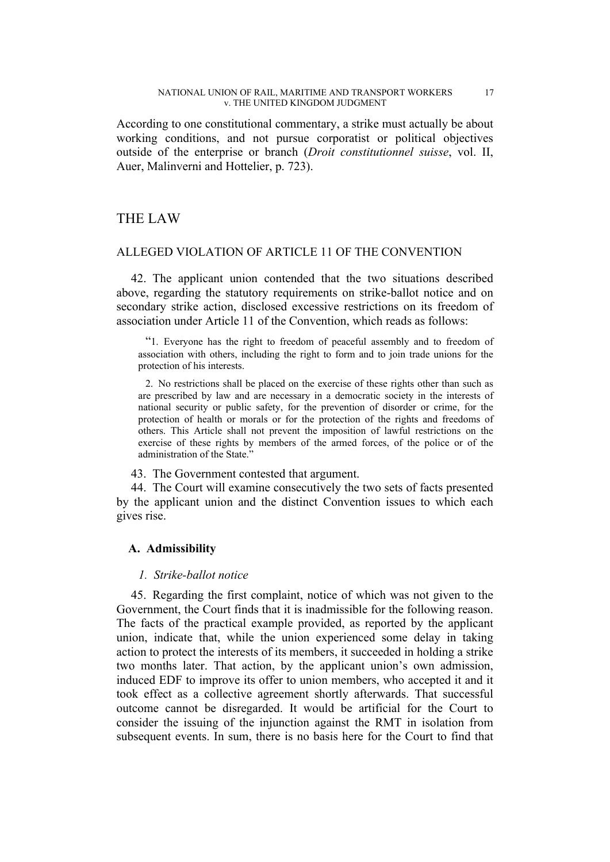According to one constitutional commentary, a strike must actually be about working conditions, and not pursue corporatist or political objectives outside of the enterprise or branch (*Droit constitutionnel suisse*, vol. II, Auer, Malinverni and Hottelier, p. 723).

# THE LAW

# ALLEGED VIOLATION OF ARTICLE 11 OF THE CONVENTION

42. The applicant union contended that the two situations described above, regarding the statutory requirements on strike-ballot notice and on secondary strike action, disclosed excessive restrictions on its freedom of association under Article 11 of the Convention, which reads as follows:

"1. Everyone has the right to freedom of peaceful assembly and to freedom of association with others, including the right to form and to join trade unions for the protection of his interests.

2. No restrictions shall be placed on the exercise of these rights other than such as are prescribed by law and are necessary in a democratic society in the interests of national security or public safety, for the prevention of disorder or crime, for the protection of health or morals or for the protection of the rights and freedoms of others. This Article shall not prevent the imposition of lawful restrictions on the exercise of these rights by members of the armed forces, of the police or of the administration of the State."

43. The Government contested that argument.

44. The Court will examine consecutively the two sets of facts presented by the applicant union and the distinct Convention issues to which each gives rise.

### **A. Admissibility**

### *1. Strike-ballot notice*

45. Regarding the first complaint, notice of which was not given to the Government, the Court finds that it is inadmissible for the following reason. The facts of the practical example provided, as reported by the applicant union, indicate that, while the union experienced some delay in taking action to protect the interests of its members, it succeeded in holding a strike two months later. That action, by the applicant union's own admission, induced EDF to improve its offer to union members, who accepted it and it took effect as a collective agreement shortly afterwards. That successful outcome cannot be disregarded. It would be artificial for the Court to consider the issuing of the injunction against the RMT in isolation from subsequent events. In sum, there is no basis here for the Court to find that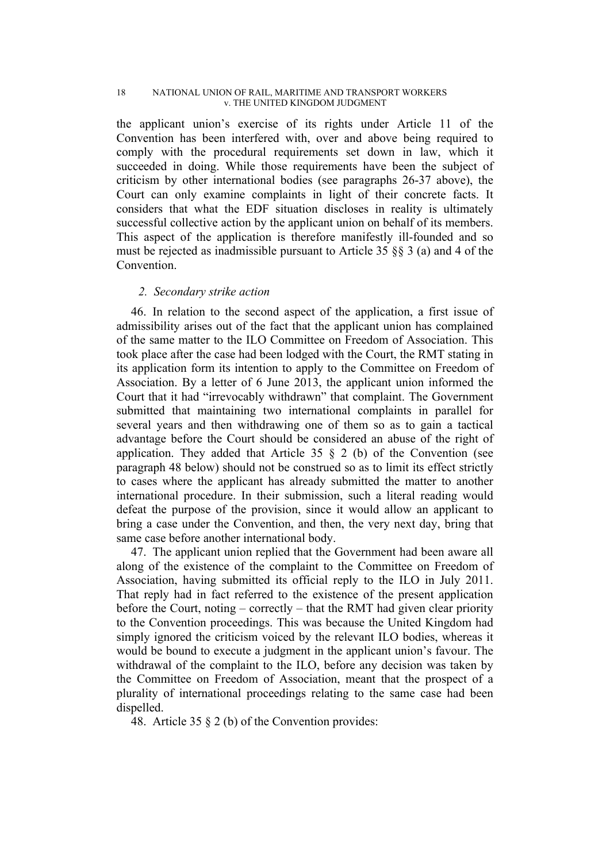the applicant union's exercise of its rights under Article 11 of the Convention has been interfered with, over and above being required to comply with the procedural requirements set down in law, which it succeeded in doing. While those requirements have been the subject of criticism by other international bodies (see paragraphs 26-37 above), the Court can only examine complaints in light of their concrete facts. It considers that what the EDF situation discloses in reality is ultimately successful collective action by the applicant union on behalf of its members. This aspect of the application is therefore manifestly ill-founded and so must be rejected as inadmissible pursuant to Article 35 §§ 3 (a) and 4 of the **Convention** 

### *2. Secondary strike action*

46. In relation to the second aspect of the application, a first issue of admissibility arises out of the fact that the applicant union has complained of the same matter to the ILO Committee on Freedom of Association. This took place after the case had been lodged with the Court, the RMT stating in its application form its intention to apply to the Committee on Freedom of Association. By a letter of 6 June 2013, the applicant union informed the Court that it had "irrevocably withdrawn" that complaint. The Government submitted that maintaining two international complaints in parallel for several years and then withdrawing one of them so as to gain a tactical advantage before the Court should be considered an abuse of the right of application. They added that Article 35  $\S$  2 (b) of the Convention (see paragraph 48 below) should not be construed so as to limit its effect strictly to cases where the applicant has already submitted the matter to another international procedure. In their submission, such a literal reading would defeat the purpose of the provision, since it would allow an applicant to bring a case under the Convention, and then, the very next day, bring that same case before another international body.

47. The applicant union replied that the Government had been aware all along of the existence of the complaint to the Committee on Freedom of Association, having submitted its official reply to the ILO in July 2011. That reply had in fact referred to the existence of the present application before the Court, noting – correctly – that the RMT had given clear priority to the Convention proceedings. This was because the United Kingdom had simply ignored the criticism voiced by the relevant ILO bodies, whereas it would be bound to execute a judgment in the applicant union's favour. The withdrawal of the complaint to the ILO, before any decision was taken by the Committee on Freedom of Association, meant that the prospect of a plurality of international proceedings relating to the same case had been dispelled.

48. Article 35 § 2 (b) of the Convention provides: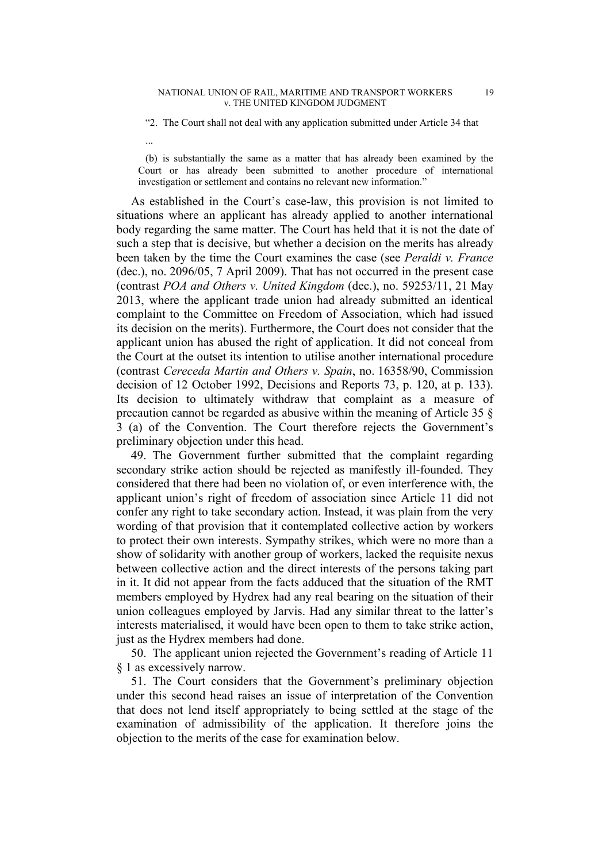"2. The Court shall not deal with any application submitted under Article 34 that

...

(b) is substantially the same as a matter that has already been examined by the Court or has already been submitted to another procedure of international investigation or settlement and contains no relevant new information."

As established in the Court's case-law, this provision is not limited to situations where an applicant has already applied to another international body regarding the same matter. The Court has held that it is not the date of such a step that is decisive, but whether a decision on the merits has already been taken by the time the Court examines the case (see *Peraldi v. France* (dec.), no. 2096/05, 7 April 2009). That has not occurred in the present case (contrast *POA and Others v. United Kingdom* (dec.), no. 59253/11, 21 May 2013, where the applicant trade union had already submitted an identical complaint to the Committee on Freedom of Association, which had issued its decision on the merits). Furthermore, the Court does not consider that the applicant union has abused the right of application. It did not conceal from the Court at the outset its intention to utilise another international procedure (contrast *Cereceda Martin and Others v. Spain*, no. 16358/90, Commission decision of 12 October 1992, Decisions and Reports 73, p. 120, at p. 133). Its decision to ultimately withdraw that complaint as a measure of precaution cannot be regarded as abusive within the meaning of Article 35 § 3 (a) of the Convention. The Court therefore rejects the Government's preliminary objection under this head.

49. The Government further submitted that the complaint regarding secondary strike action should be rejected as manifestly ill-founded. They considered that there had been no violation of, or even interference with, the applicant union's right of freedom of association since Article 11 did not confer any right to take secondary action. Instead, it was plain from the very wording of that provision that it contemplated collective action by workers to protect their own interests. Sympathy strikes, which were no more than a show of solidarity with another group of workers, lacked the requisite nexus between collective action and the direct interests of the persons taking part in it. It did not appear from the facts adduced that the situation of the RMT members employed by Hydrex had any real bearing on the situation of their union colleagues employed by Jarvis. Had any similar threat to the latter's interests materialised, it would have been open to them to take strike action, just as the Hydrex members had done.

50. The applicant union rejected the Government's reading of Article 11 § 1 as excessively narrow.

51. The Court considers that the Government's preliminary objection under this second head raises an issue of interpretation of the Convention that does not lend itself appropriately to being settled at the stage of the examination of admissibility of the application. It therefore joins the objection to the merits of the case for examination below.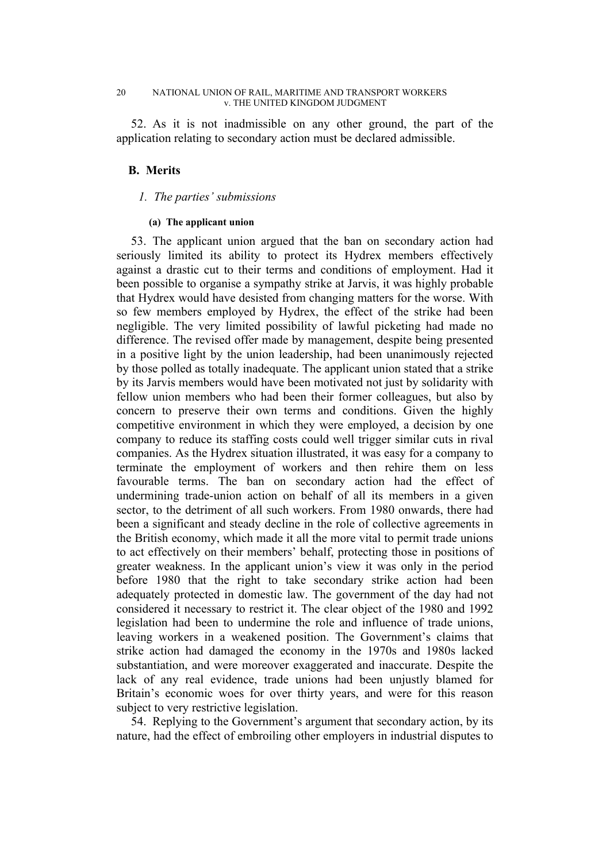52. As it is not inadmissible on any other ground, the part of the application relating to secondary action must be declared admissible.

### **B. Merits**

### *1. The parties' submissions*

### **(a) The applicant union**

53. The applicant union argued that the ban on secondary action had seriously limited its ability to protect its Hydrex members effectively against a drastic cut to their terms and conditions of employment. Had it been possible to organise a sympathy strike at Jarvis, it was highly probable that Hydrex would have desisted from changing matters for the worse. With so few members employed by Hydrex, the effect of the strike had been negligible. The very limited possibility of lawful picketing had made no difference. The revised offer made by management, despite being presented in a positive light by the union leadership, had been unanimously rejected by those polled as totally inadequate. The applicant union stated that a strike by its Jarvis members would have been motivated not just by solidarity with fellow union members who had been their former colleagues, but also by concern to preserve their own terms and conditions. Given the highly competitive environment in which they were employed, a decision by one company to reduce its staffing costs could well trigger similar cuts in rival companies. As the Hydrex situation illustrated, it was easy for a company to terminate the employment of workers and then rehire them on less favourable terms. The ban on secondary action had the effect of undermining trade-union action on behalf of all its members in a given sector, to the detriment of all such workers. From 1980 onwards, there had been a significant and steady decline in the role of collective agreements in the British economy, which made it all the more vital to permit trade unions to act effectively on their members' behalf, protecting those in positions of greater weakness. In the applicant union's view it was only in the period before 1980 that the right to take secondary strike action had been adequately protected in domestic law. The government of the day had not considered it necessary to restrict it. The clear object of the 1980 and 1992 legislation had been to undermine the role and influence of trade unions, leaving workers in a weakened position. The Government's claims that strike action had damaged the economy in the 1970s and 1980s lacked substantiation, and were moreover exaggerated and inaccurate. Despite the lack of any real evidence, trade unions had been unjustly blamed for Britain's economic woes for over thirty years, and were for this reason subject to very restrictive legislation.

54. Replying to the Government's argument that secondary action, by its nature, had the effect of embroiling other employers in industrial disputes to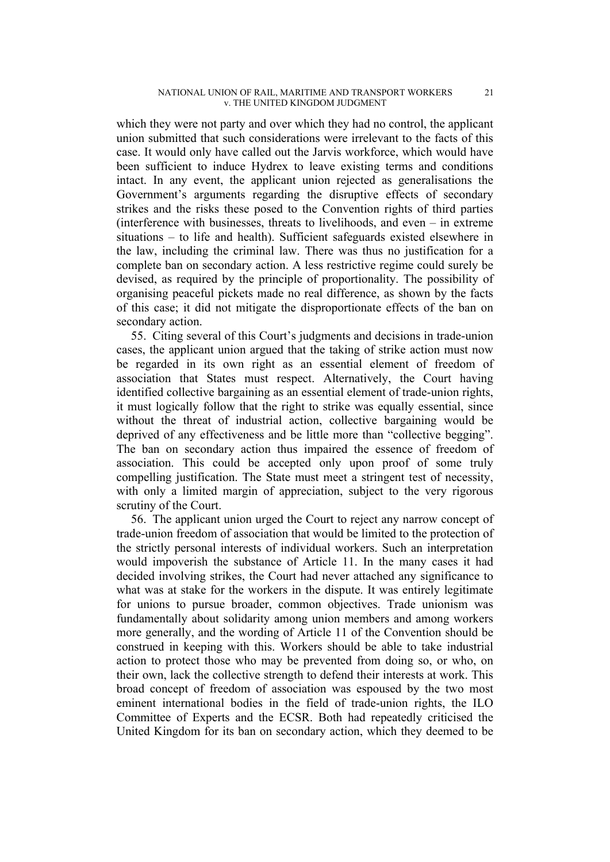which they were not party and over which they had no control, the applicant union submitted that such considerations were irrelevant to the facts of this case. It would only have called out the Jarvis workforce, which would have been sufficient to induce Hydrex to leave existing terms and conditions intact. In any event, the applicant union rejected as generalisations the Government's arguments regarding the disruptive effects of secondary strikes and the risks these posed to the Convention rights of third parties (interference with businesses, threats to livelihoods, and even – in extreme situations – to life and health). Sufficient safeguards existed elsewhere in the law, including the criminal law. There was thus no justification for a complete ban on secondary action. A less restrictive regime could surely be devised, as required by the principle of proportionality. The possibility of organising peaceful pickets made no real difference, as shown by the facts of this case; it did not mitigate the disproportionate effects of the ban on secondary action.

55. Citing several of this Court's judgments and decisions in trade-union cases, the applicant union argued that the taking of strike action must now be regarded in its own right as an essential element of freedom of association that States must respect. Alternatively, the Court having identified collective bargaining as an essential element of trade-union rights, it must logically follow that the right to strike was equally essential, since without the threat of industrial action, collective bargaining would be deprived of any effectiveness and be little more than "collective begging". The ban on secondary action thus impaired the essence of freedom of association. This could be accepted only upon proof of some truly compelling justification. The State must meet a stringent test of necessity, with only a limited margin of appreciation, subject to the very rigorous scrutiny of the Court.

56. The applicant union urged the Court to reject any narrow concept of trade-union freedom of association that would be limited to the protection of the strictly personal interests of individual workers. Such an interpretation would impoverish the substance of Article 11. In the many cases it had decided involving strikes, the Court had never attached any significance to what was at stake for the workers in the dispute. It was entirely legitimate for unions to pursue broader, common objectives. Trade unionism was fundamentally about solidarity among union members and among workers more generally, and the wording of Article 11 of the Convention should be construed in keeping with this. Workers should be able to take industrial action to protect those who may be prevented from doing so, or who, on their own, lack the collective strength to defend their interests at work. This broad concept of freedom of association was espoused by the two most eminent international bodies in the field of trade-union rights, the ILO Committee of Experts and the ECSR. Both had repeatedly criticised the United Kingdom for its ban on secondary action, which they deemed to be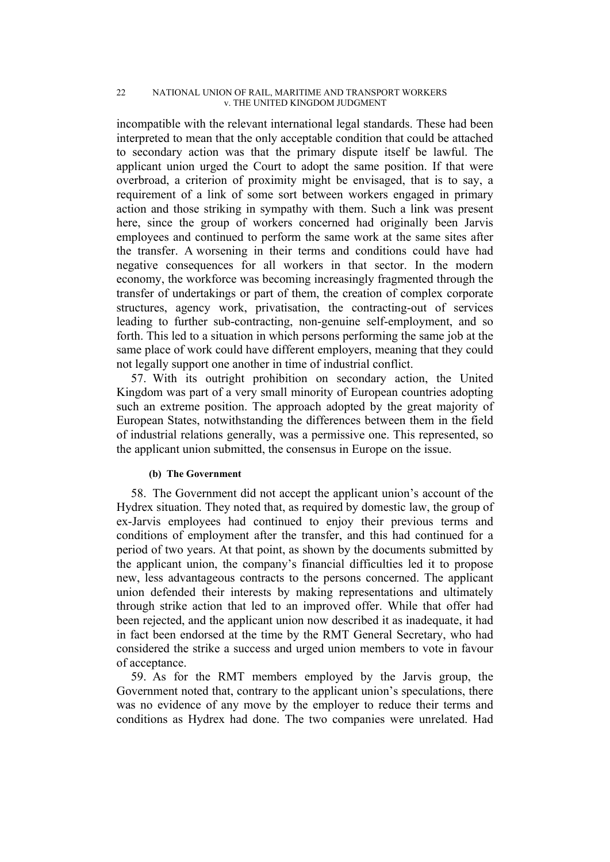incompatible with the relevant international legal standards. These had been interpreted to mean that the only acceptable condition that could be attached to secondary action was that the primary dispute itself be lawful. The applicant union urged the Court to adopt the same position. If that were overbroad, a criterion of proximity might be envisaged, that is to say, a requirement of a link of some sort between workers engaged in primary action and those striking in sympathy with them. Such a link was present here, since the group of workers concerned had originally been Jarvis employees and continued to perform the same work at the same sites after the transfer. A worsening in their terms and conditions could have had negative consequences for all workers in that sector. In the modern economy, the workforce was becoming increasingly fragmented through the transfer of undertakings or part of them, the creation of complex corporate structures, agency work, privatisation, the contracting-out of services leading to further sub-contracting, non-genuine self-employment, and so forth. This led to a situation in which persons performing the same job at the same place of work could have different employers, meaning that they could not legally support one another in time of industrial conflict.

57. With its outright prohibition on secondary action, the United Kingdom was part of a very small minority of European countries adopting such an extreme position. The approach adopted by the great majority of European States, notwithstanding the differences between them in the field of industrial relations generally, was a permissive one. This represented, so the applicant union submitted, the consensus in Europe on the issue.

### **(b) The Government**

58. The Government did not accept the applicant union's account of the Hydrex situation. They noted that, as required by domestic law, the group of ex-Jarvis employees had continued to enjoy their previous terms and conditions of employment after the transfer, and this had continued for a period of two years. At that point, as shown by the documents submitted by the applicant union, the company's financial difficulties led it to propose new, less advantageous contracts to the persons concerned. The applicant union defended their interests by making representations and ultimately through strike action that led to an improved offer. While that offer had been rejected, and the applicant union now described it as inadequate, it had in fact been endorsed at the time by the RMT General Secretary, who had considered the strike a success and urged union members to vote in favour of acceptance.

59. As for the RMT members employed by the Jarvis group, the Government noted that, contrary to the applicant union's speculations, there was no evidence of any move by the employer to reduce their terms and conditions as Hydrex had done. The two companies were unrelated. Had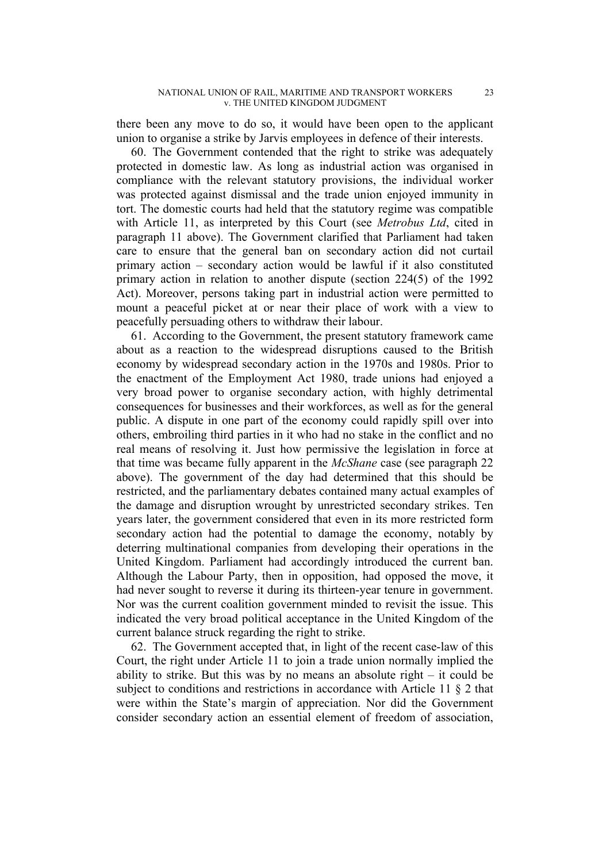there been any move to do so, it would have been open to the applicant union to organise a strike by Jarvis employees in defence of their interests.

60. The Government contended that the right to strike was adequately protected in domestic law. As long as industrial action was organised in compliance with the relevant statutory provisions, the individual worker was protected against dismissal and the trade union enjoyed immunity in tort. The domestic courts had held that the statutory regime was compatible with Article 11, as interpreted by this Court (see *Metrobus Ltd*, cited in paragraph 11 above). The Government clarified that Parliament had taken care to ensure that the general ban on secondary action did not curtail primary action – secondary action would be lawful if it also constituted primary action in relation to another dispute (section 224(5) of the 1992 Act). Moreover, persons taking part in industrial action were permitted to mount a peaceful picket at or near their place of work with a view to peacefully persuading others to withdraw their labour.

61. According to the Government, the present statutory framework came about as a reaction to the widespread disruptions caused to the British economy by widespread secondary action in the 1970s and 1980s. Prior to the enactment of the Employment Act 1980, trade unions had enjoyed a very broad power to organise secondary action, with highly detrimental consequences for businesses and their workforces, as well as for the general public. A dispute in one part of the economy could rapidly spill over into others, embroiling third parties in it who had no stake in the conflict and no real means of resolving it. Just how permissive the legislation in force at that time was became fully apparent in the *McShane* case (see paragraph 22 above). The government of the day had determined that this should be restricted, and the parliamentary debates contained many actual examples of the damage and disruption wrought by unrestricted secondary strikes. Ten years later, the government considered that even in its more restricted form secondary action had the potential to damage the economy, notably by deterring multinational companies from developing their operations in the United Kingdom. Parliament had accordingly introduced the current ban. Although the Labour Party, then in opposition, had opposed the move, it had never sought to reverse it during its thirteen-year tenure in government. Nor was the current coalition government minded to revisit the issue. This indicated the very broad political acceptance in the United Kingdom of the current balance struck regarding the right to strike.

62. The Government accepted that, in light of the recent case-law of this Court, the right under Article 11 to join a trade union normally implied the ability to strike. But this was by no means an absolute right  $-$  it could be subject to conditions and restrictions in accordance with Article 11 § 2 that were within the State's margin of appreciation. Nor did the Government consider secondary action an essential element of freedom of association,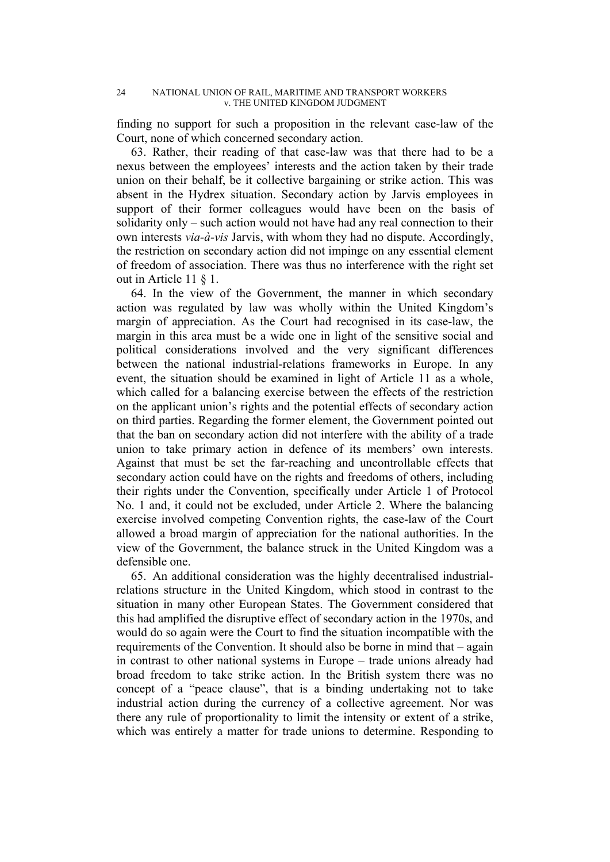finding no support for such a proposition in the relevant case-law of the Court, none of which concerned secondary action.

63. Rather, their reading of that case-law was that there had to be a nexus between the employees' interests and the action taken by their trade union on their behalf, be it collective bargaining or strike action. This was absent in the Hydrex situation. Secondary action by Jarvis employees in support of their former colleagues would have been on the basis of solidarity only – such action would not have had any real connection to their own interests *via-à-vis* Jarvis, with whom they had no dispute. Accordingly, the restriction on secondary action did not impinge on any essential element of freedom of association. There was thus no interference with the right set out in Article 11 § 1.

64. In the view of the Government, the manner in which secondary action was regulated by law was wholly within the United Kingdom's margin of appreciation. As the Court had recognised in its case-law, the margin in this area must be a wide one in light of the sensitive social and political considerations involved and the very significant differences between the national industrial-relations frameworks in Europe. In any event, the situation should be examined in light of Article 11 as a whole, which called for a balancing exercise between the effects of the restriction on the applicant union's rights and the potential effects of secondary action on third parties. Regarding the former element, the Government pointed out that the ban on secondary action did not interfere with the ability of a trade union to take primary action in defence of its members' own interests. Against that must be set the far-reaching and uncontrollable effects that secondary action could have on the rights and freedoms of others, including their rights under the Convention, specifically under Article 1 of Protocol No. 1 and, it could not be excluded, under Article 2. Where the balancing exercise involved competing Convention rights, the case-law of the Court allowed a broad margin of appreciation for the national authorities. In the view of the Government, the balance struck in the United Kingdom was a defensible one.

65. An additional consideration was the highly decentralised industrialrelations structure in the United Kingdom, which stood in contrast to the situation in many other European States. The Government considered that this had amplified the disruptive effect of secondary action in the 1970s, and would do so again were the Court to find the situation incompatible with the requirements of the Convention. It should also be borne in mind that – again in contrast to other national systems in Europe – trade unions already had broad freedom to take strike action. In the British system there was no concept of a "peace clause", that is a binding undertaking not to take industrial action during the currency of a collective agreement. Nor was there any rule of proportionality to limit the intensity or extent of a strike, which was entirely a matter for trade unions to determine. Responding to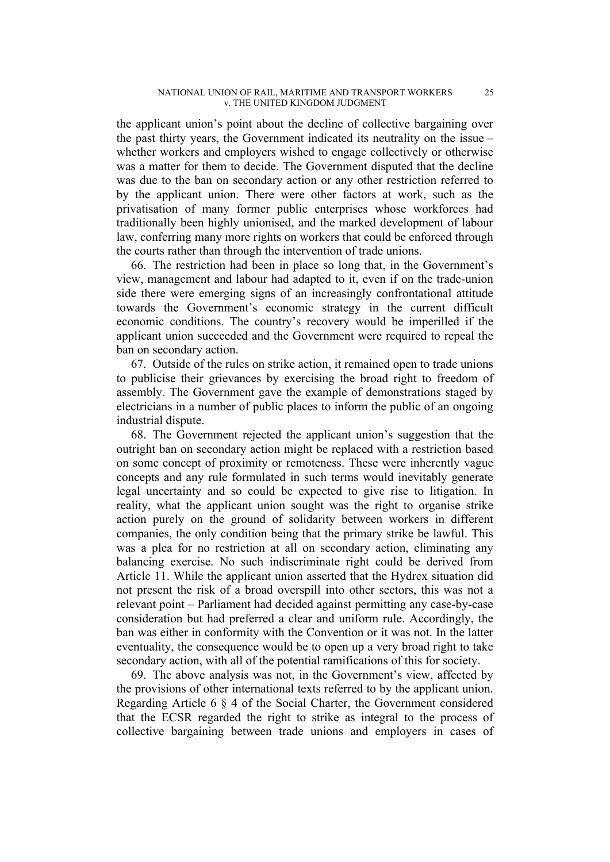the applicant union's point about the decline of collective bargaining over the past thirty years, the Government indicated its neutrality on the issue – whether workers and employers wished to engage collectively or otherwise was a matter for them to decide. The Government disputed that the decline was due to the ban on secondary action or any other restriction referred to by the applicant union. There were other factors at work, such as the privatisation of many former public enterprises whose workforces had traditionally been highly unionised, and the marked development of labour law, conferring many more rights on workers that could be enforced through the courts rather than through the intervention of trade unions.

66. The restriction had been in place so long that, in the Government's view, management and labour had adapted to it, even if on the trade-union side there were emerging signs of an increasingly confrontational attitude towards the Government's economic strategy in the current difficult economic conditions. The country's recovery would be imperilled if the applicant union succeeded and the Government were required to repeal the ban on secondary action.

67. Outside of the rules on strike action, it remained open to trade unions to publicise their grievances by exercising the broad right to freedom of assembly. The Government gave the example of demonstrations staged by electricians in a number of public places to inform the public of an ongoing industrial dispute.

68. The Government rejected the applicant union's suggestion that the outright ban on secondary action might be replaced with a restriction based on some concept of proximity or remoteness. These were inherently vague concepts and any rule formulated in such terms would inevitably generate legal uncertainty and so could be expected to give rise to litigation. In reality, what the applicant union sought was the right to organise strike action purely on the ground of solidarity between workers in different companies, the only condition being that the primary strike be lawful. This was a plea for no restriction at all on secondary action, eliminating any balancing exercise. No such indiscriminate right could be derived from Article 11. While the applicant union asserted that the Hydrex situation did not present the risk of a broad overspill into other sectors, this was not a relevant point – Parliament had decided against permitting any case-by-case consideration but had preferred a clear and uniform rule. Accordingly, the ban was either in conformity with the Convention or it was not. In the latter eventuality, the consequence would be to open up a very broad right to take secondary action, with all of the potential ramifications of this for society.

69. The above analysis was not, in the Government's view, affected by the provisions of other international texts referred to by the applicant union. Regarding Article 6 § 4 of the Social Charter, the Government considered that the ECSR regarded the right to strike as integral to the process of collective bargaining between trade unions and employers in cases of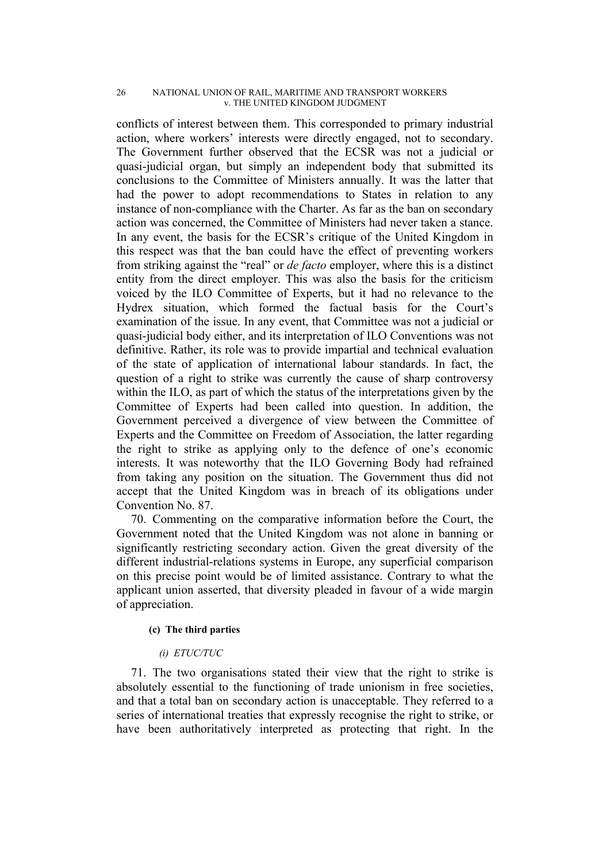conflicts of interest between them. This corresponded to primary industrial action, where workers' interests were directly engaged, not to secondary. The Government further observed that the ECSR was not a judicial or quasi-judicial organ, but simply an independent body that submitted its conclusions to the Committee of Ministers annually. It was the latter that had the power to adopt recommendations to States in relation to any instance of non-compliance with the Charter. As far as the ban on secondary action was concerned, the Committee of Ministers had never taken a stance. In any event, the basis for the ECSR's critique of the United Kingdom in this respect was that the ban could have the effect of preventing workers from striking against the "real" or *de facto* employer, where this is a distinct entity from the direct employer. This was also the basis for the criticism voiced by the ILO Committee of Experts, but it had no relevance to the Hydrex situation, which formed the factual basis for the Court's examination of the issue. In any event, that Committee was not a judicial or quasi-judicial body either, and its interpretation of ILO Conventions was not definitive. Rather, its role was to provide impartial and technical evaluation of the state of application of international labour standards. In fact, the question of a right to strike was currently the cause of sharp controversy within the ILO, as part of which the status of the interpretations given by the Committee of Experts had been called into question. In addition, the Government perceived a divergence of view between the Committee of Experts and the Committee on Freedom of Association, the latter regarding the right to strike as applying only to the defence of one's economic interests. It was noteworthy that the ILO Governing Body had refrained from taking any position on the situation. The Government thus did not accept that the United Kingdom was in breach of its obligations under Convention No. 87.

70. Commenting on the comparative information before the Court, the Government noted that the United Kingdom was not alone in banning or significantly restricting secondary action. Given the great diversity of the different industrial-relations systems in Europe, any superficial comparison on this precise point would be of limited assistance. Contrary to what the applicant union asserted, that diversity pleaded in favour of a wide margin of appreciation.

### **(c) The third parties**

### *(i) ETUC/TUC*

71. The two organisations stated their view that the right to strike is absolutely essential to the functioning of trade unionism in free societies, and that a total ban on secondary action is unacceptable. They referred to a series of international treaties that expressly recognise the right to strike, or have been authoritatively interpreted as protecting that right. In the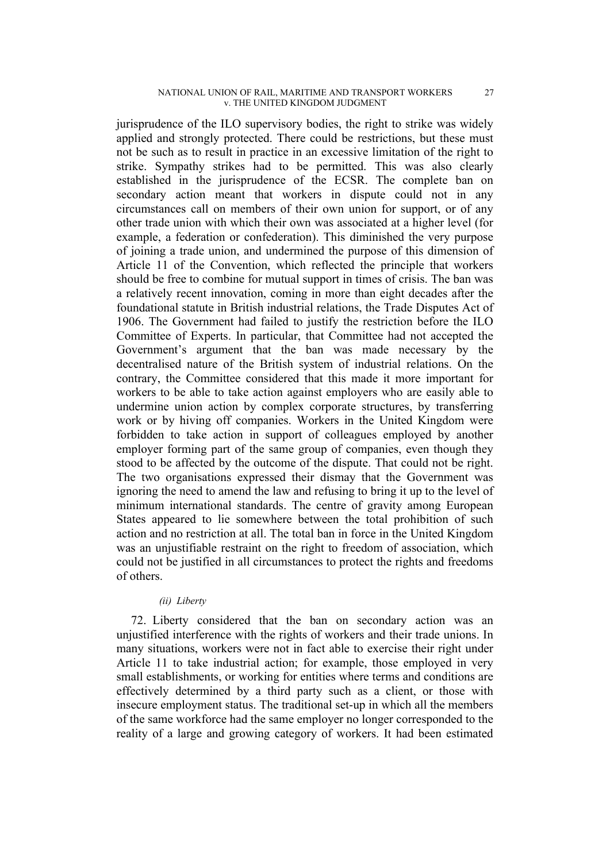jurisprudence of the ILO supervisory bodies, the right to strike was widely applied and strongly protected. There could be restrictions, but these must not be such as to result in practice in an excessive limitation of the right to strike. Sympathy strikes had to be permitted. This was also clearly established in the jurisprudence of the ECSR. The complete ban on secondary action meant that workers in dispute could not in any circumstances call on members of their own union for support, or of any other trade union with which their own was associated at a higher level (for example, a federation or confederation). This diminished the very purpose of joining a trade union, and undermined the purpose of this dimension of Article 11 of the Convention, which reflected the principle that workers should be free to combine for mutual support in times of crisis. The ban was a relatively recent innovation, coming in more than eight decades after the foundational statute in British industrial relations, the Trade Disputes Act of 1906. The Government had failed to justify the restriction before the ILO Committee of Experts. In particular, that Committee had not accepted the Government's argument that the ban was made necessary by the decentralised nature of the British system of industrial relations. On the contrary, the Committee considered that this made it more important for workers to be able to take action against employers who are easily able to undermine union action by complex corporate structures, by transferring work or by hiving off companies. Workers in the United Kingdom were forbidden to take action in support of colleagues employed by another employer forming part of the same group of companies, even though they stood to be affected by the outcome of the dispute. That could not be right. The two organisations expressed their dismay that the Government was ignoring the need to amend the law and refusing to bring it up to the level of minimum international standards. The centre of gravity among European States appeared to lie somewhere between the total prohibition of such action and no restriction at all. The total ban in force in the United Kingdom was an unjustifiable restraint on the right to freedom of association, which could not be justified in all circumstances to protect the rights and freedoms of others.

### *(ii) Liberty*

72. Liberty considered that the ban on secondary action was an unjustified interference with the rights of workers and their trade unions. In many situations, workers were not in fact able to exercise their right under Article 11 to take industrial action; for example, those employed in very small establishments, or working for entities where terms and conditions are effectively determined by a third party such as a client, or those with insecure employment status. The traditional set-up in which all the members of the same workforce had the same employer no longer corresponded to the reality of a large and growing category of workers. It had been estimated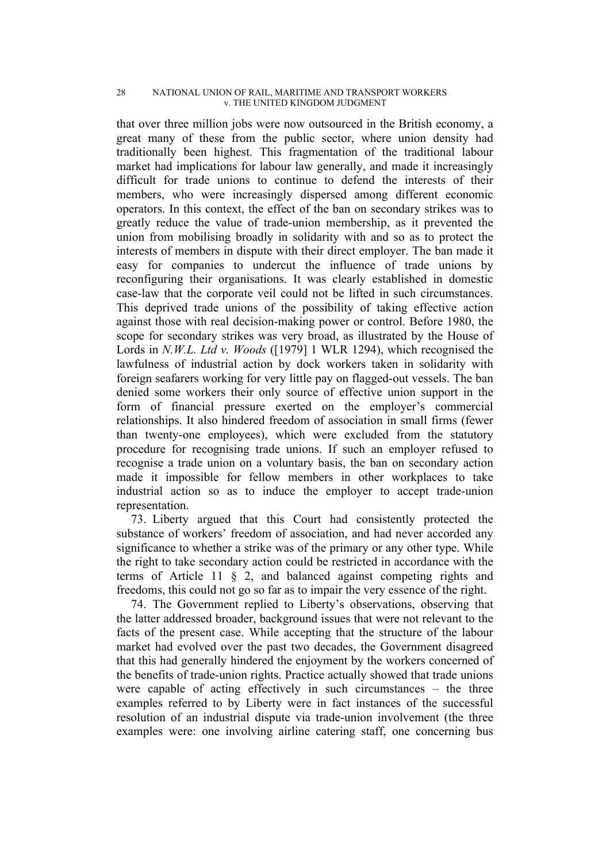that over three million jobs were now outsourced in the British economy, a great many of these from the public sector, where union density had traditionally been highest. This fragmentation of the traditional labour market had implications for labour law generally, and made it increasingly difficult for trade unions to continue to defend the interests of their members, who were increasingly dispersed among different economic operators. In this context, the effect of the ban on secondary strikes was to greatly reduce the value of trade-union membership, as it prevented the union from mobilising broadly in solidarity with and so as to protect the interests of members in dispute with their direct employer. The ban made it easy for companies to undercut the influence of trade unions by reconfiguring their organisations. It was clearly established in domestic case-law that the corporate veil could not be lifted in such circumstances. This deprived trade unions of the possibility of taking effective action against those with real decision-making power or control. Before 1980, the scope for secondary strikes was very broad, as illustrated by the House of Lords in *N.W.L. Ltd v. Woods* ([1979] 1 WLR 1294), which recognised the lawfulness of industrial action by dock workers taken in solidarity with foreign seafarers working for very little pay on flagged-out vessels. The ban denied some workers their only source of effective union support in the form of financial pressure exerted on the employer's commercial relationships. It also hindered freedom of association in small firms (fewer than twenty-one employees), which were excluded from the statutory procedure for recognising trade unions. If such an employer refused to recognise a trade union on a voluntary basis, the ban on secondary action made it impossible for fellow members in other workplaces to take industrial action so as to induce the employer to accept trade-union representation.

73. Liberty argued that this Court had consistently protected the substance of workers' freedom of association, and had never accorded any significance to whether a strike was of the primary or any other type. While the right to take secondary action could be restricted in accordance with the terms of Article 11 § 2, and balanced against competing rights and freedoms, this could not go so far as to impair the very essence of the right.

74. The Government replied to Liberty's observations, observing that the latter addressed broader, background issues that were not relevant to the facts of the present case. While accepting that the structure of the labour market had evolved over the past two decades, the Government disagreed that this had generally hindered the enjoyment by the workers concerned of the benefits of trade-union rights. Practice actually showed that trade unions were capable of acting effectively in such circumstances – the three examples referred to by Liberty were in fact instances of the successful resolution of an industrial dispute via trade-union involvement (the three examples were: one involving airline catering staff, one concerning bus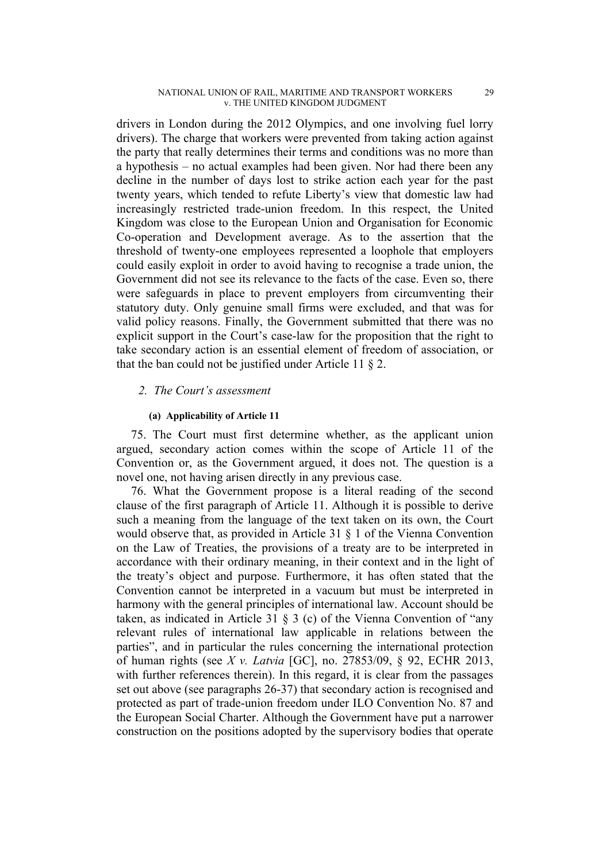drivers in London during the 2012 Olympics, and one involving fuel lorry drivers). The charge that workers were prevented from taking action against the party that really determines their terms and conditions was no more than a hypothesis – no actual examples had been given. Nor had there been any decline in the number of days lost to strike action each year for the past twenty years, which tended to refute Liberty's view that domestic law had increasingly restricted trade-union freedom. In this respect, the United Kingdom was close to the European Union and Organisation for Economic Co-operation and Development average. As to the assertion that the threshold of twenty-one employees represented a loophole that employers could easily exploit in order to avoid having to recognise a trade union, the Government did not see its relevance to the facts of the case. Even so, there were safeguards in place to prevent employers from circumventing their statutory duty. Only genuine small firms were excluded, and that was for valid policy reasons. Finally, the Government submitted that there was no explicit support in the Court's case-law for the proposition that the right to take secondary action is an essential element of freedom of association, or that the ban could not be justified under Article 11 § 2.

### *2. The Court's assessment*

### **(a) Applicability of Article 11**

75. The Court must first determine whether, as the applicant union argued, secondary action comes within the scope of Article 11 of the Convention or, as the Government argued, it does not. The question is a novel one, not having arisen directly in any previous case.

76. What the Government propose is a literal reading of the second clause of the first paragraph of Article 11. Although it is possible to derive such a meaning from the language of the text taken on its own, the Court would observe that, as provided in Article 31  $\S$  1 of the Vienna Convention on the Law of Treaties, the provisions of a treaty are to be interpreted in accordance with their ordinary meaning, in their context and in the light of the treaty's object and purpose. Furthermore, it has often stated that the Convention cannot be interpreted in a vacuum but must be interpreted in harmony with the general principles of international law. Account should be taken, as indicated in Article 31 § 3 (c) of the Vienna Convention of "any relevant rules of international law applicable in relations between the parties", and in particular the rules concerning the international protection of human rights (see *X v. Latvia* [GC], no. 27853/09, § 92, ECHR 2013, with further references therein). In this regard, it is clear from the passages set out above (see paragraphs 26-37) that secondary action is recognised and protected as part of trade-union freedom under ILO Convention No. 87 and the European Social Charter. Although the Government have put a narrower construction on the positions adopted by the supervisory bodies that operate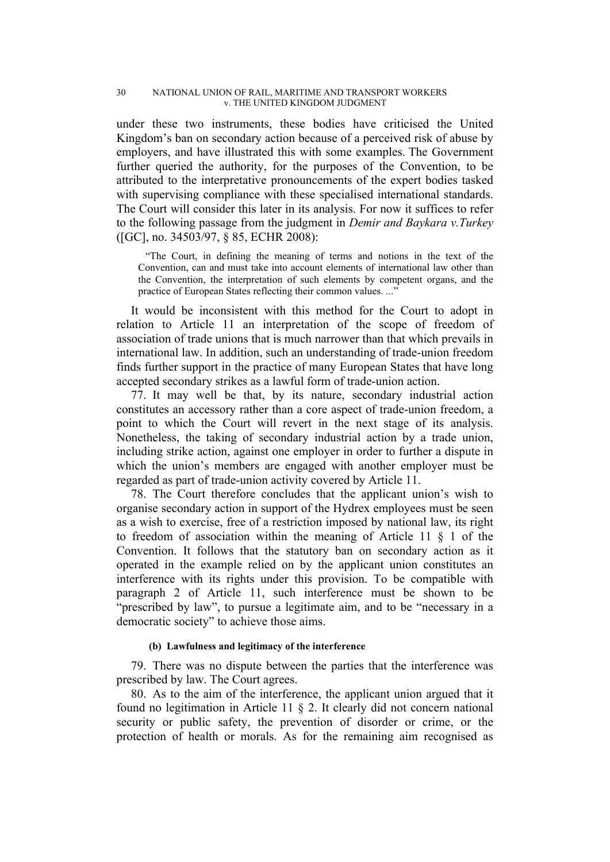under these two instruments, these bodies have criticised the United Kingdom's ban on secondary action because of a perceived risk of abuse by employers, and have illustrated this with some examples. The Government further queried the authority, for the purposes of the Convention, to be attributed to the interpretative pronouncements of the expert bodies tasked with supervising compliance with these specialised international standards. The Court will consider this later in its analysis. For now it suffices to refer to the following passage from the judgment in *Demir and Baykara v.Turkey* ([GC], no. 34503/97, § 85, ECHR 2008):

"The Court, in defining the meaning of terms and notions in the text of the Convention, can and must take into account elements of international law other than the Convention, the interpretation of such elements by competent organs, and the practice of European States reflecting their common values. ..."

It would be inconsistent with this method for the Court to adopt in relation to Article 11 an interpretation of the scope of freedom of association of trade unions that is much narrower than that which prevails in international law. In addition, such an understanding of trade-union freedom finds further support in the practice of many European States that have long accepted secondary strikes as a lawful form of trade-union action.

77. It may well be that, by its nature, secondary industrial action constitutes an accessory rather than a core aspect of trade-union freedom, a point to which the Court will revert in the next stage of its analysis. Nonetheless, the taking of secondary industrial action by a trade union, including strike action, against one employer in order to further a dispute in which the union's members are engaged with another employer must be regarded as part of trade-union activity covered by Article 11.

78. The Court therefore concludes that the applicant union's wish to organise secondary action in support of the Hydrex employees must be seen as a wish to exercise, free of a restriction imposed by national law, its right to freedom of association within the meaning of Article 11 § 1 of the Convention. It follows that the statutory ban on secondary action as it operated in the example relied on by the applicant union constitutes an interference with its rights under this provision. To be compatible with paragraph 2 of Article 11, such interference must be shown to be "prescribed by law", to pursue a legitimate aim, and to be "necessary in a democratic society" to achieve those aims.

### **(b) Lawfulness and legitimacy of the interference**

79. There was no dispute between the parties that the interference was prescribed by law. The Court agrees.

80. As to the aim of the interference, the applicant union argued that it found no legitimation in Article 11 § 2. It clearly did not concern national security or public safety, the prevention of disorder or crime, or the protection of health or morals. As for the remaining aim recognised as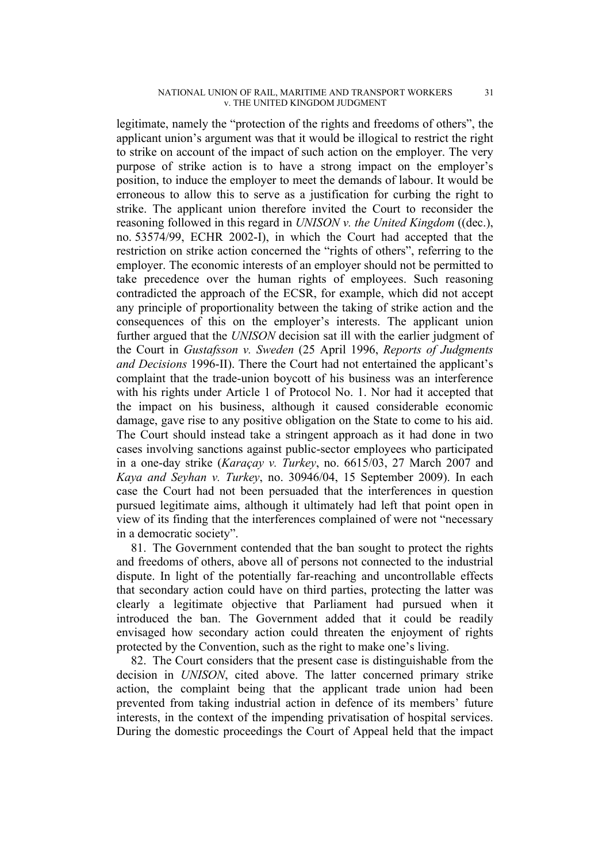legitimate, namely the "protection of the rights and freedoms of others", the applicant union's argument was that it would be illogical to restrict the right to strike on account of the impact of such action on the employer. The very purpose of strike action is to have a strong impact on the employer's position, to induce the employer to meet the demands of labour. It would be erroneous to allow this to serve as a justification for curbing the right to strike. The applicant union therefore invited the Court to reconsider the reasoning followed in this regard in *UNISON v. the United Kingdom* ((dec.), no. 53574/99, ECHR 2002-I), in which the Court had accepted that the restriction on strike action concerned the "rights of others", referring to the employer. The economic interests of an employer should not be permitted to take precedence over the human rights of employees. Such reasoning contradicted the approach of the ECSR, for example, which did not accept any principle of proportionality between the taking of strike action and the consequences of this on the employer's interests. The applicant union further argued that the *UNISON* decision sat ill with the earlier judgment of the Court in *Gustafsson v. Sweden* (25 April 1996, *Reports of Judgments and Decisions* 1996-II). There the Court had not entertained the applicant's complaint that the trade-union boycott of his business was an interference with his rights under Article 1 of Protocol No. 1. Nor had it accepted that the impact on his business, although it caused considerable economic damage, gave rise to any positive obligation on the State to come to his aid. The Court should instead take a stringent approach as it had done in two cases involving sanctions against public-sector employees who participated in a one-day strike (*Karaçay v. Turkey*, no. 6615/03, 27 March 2007 and *Kaya and Seyhan v. Turkey*, no. 30946/04, 15 September 2009). In each case the Court had not been persuaded that the interferences in question pursued legitimate aims, although it ultimately had left that point open in view of its finding that the interferences complained of were not "necessary in a democratic society".

81. The Government contended that the ban sought to protect the rights and freedoms of others, above all of persons not connected to the industrial dispute. In light of the potentially far-reaching and uncontrollable effects that secondary action could have on third parties, protecting the latter was clearly a legitimate objective that Parliament had pursued when it introduced the ban. The Government added that it could be readily envisaged how secondary action could threaten the enjoyment of rights protected by the Convention, such as the right to make one's living.

82. The Court considers that the present case is distinguishable from the decision in *UNISON*, cited above. The latter concerned primary strike action, the complaint being that the applicant trade union had been prevented from taking industrial action in defence of its members' future interests, in the context of the impending privatisation of hospital services. During the domestic proceedings the Court of Appeal held that the impact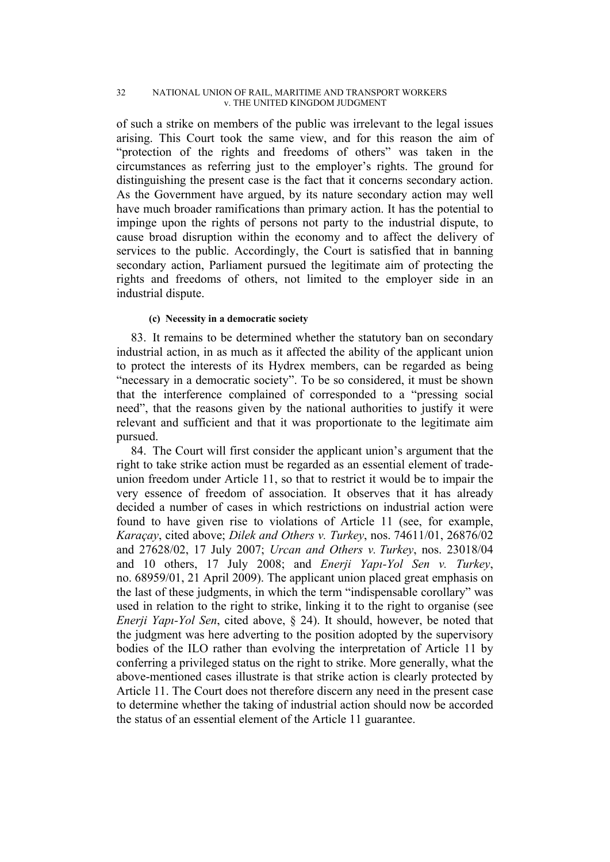of such a strike on members of the public was irrelevant to the legal issues arising. This Court took the same view, and for this reason the aim of "protection of the rights and freedoms of others" was taken in the circumstances as referring just to the employer's rights. The ground for distinguishing the present case is the fact that it concerns secondary action. As the Government have argued, by its nature secondary action may well have much broader ramifications than primary action. It has the potential to impinge upon the rights of persons not party to the industrial dispute, to cause broad disruption within the economy and to affect the delivery of services to the public. Accordingly, the Court is satisfied that in banning secondary action, Parliament pursued the legitimate aim of protecting the rights and freedoms of others, not limited to the employer side in an industrial dispute.

### **(c) Necessity in a democratic society**

83. It remains to be determined whether the statutory ban on secondary industrial action, in as much as it affected the ability of the applicant union to protect the interests of its Hydrex members, can be regarded as being "necessary in a democratic society". To be so considered, it must be shown that the interference complained of corresponded to a "pressing social need", that the reasons given by the national authorities to justify it were relevant and sufficient and that it was proportionate to the legitimate aim pursued.

84. The Court will first consider the applicant union's argument that the right to take strike action must be regarded as an essential element of tradeunion freedom under Article 11, so that to restrict it would be to impair the very essence of freedom of association. It observes that it has already decided a number of cases in which restrictions on industrial action were found to have given rise to violations of Article 11 (see, for example, *Karaçay*, cited above; *Dilek and Others v. Turkey*, nos. 74611/01, 26876/02 and 27628/02, 17 July 2007; *Urcan and Others v. Turkey*, nos. 23018/04 and 10 others, 17 July 2008; and *Enerji Yapı-Yol Sen v. Turkey*, no. 68959/01, 21 April 2009). The applicant union placed great emphasis on the last of these judgments, in which the term "indispensable corollary" was used in relation to the right to strike, linking it to the right to organise (see *Enerji Yapı-Yol Sen*, cited above, § 24). It should, however, be noted that the judgment was here adverting to the position adopted by the supervisory bodies of the ILO rather than evolving the interpretation of Article 11 by conferring a privileged status on the right to strike. More generally, what the above-mentioned cases illustrate is that strike action is clearly protected by Article 11. The Court does not therefore discern any need in the present case to determine whether the taking of industrial action should now be accorded the status of an essential element of the Article 11 guarantee.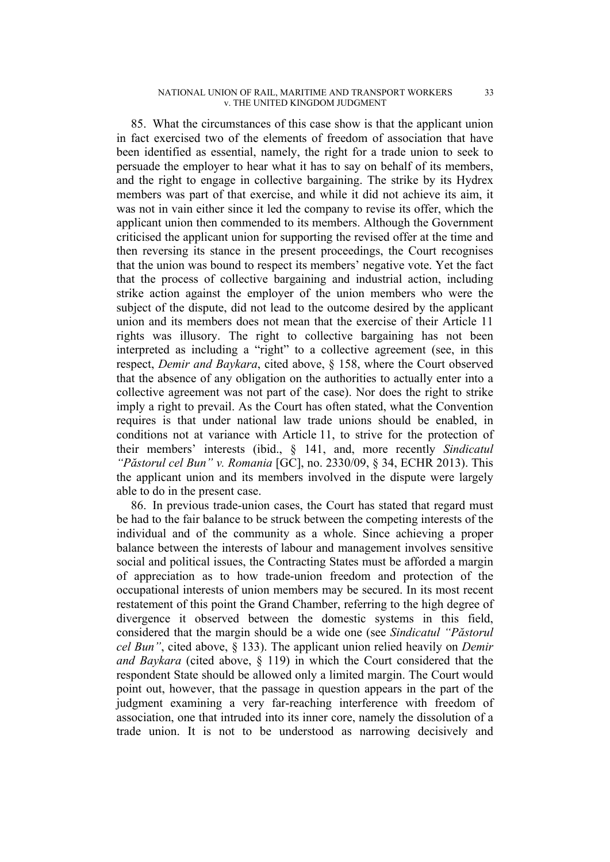85. What the circumstances of this case show is that the applicant union in fact exercised two of the elements of freedom of association that have been identified as essential, namely, the right for a trade union to seek to persuade the employer to hear what it has to say on behalf of its members, and the right to engage in collective bargaining. The strike by its Hydrex members was part of that exercise, and while it did not achieve its aim, it was not in vain either since it led the company to revise its offer, which the applicant union then commended to its members. Although the Government criticised the applicant union for supporting the revised offer at the time and then reversing its stance in the present proceedings, the Court recognises that the union was bound to respect its members' negative vote. Yet the fact that the process of collective bargaining and industrial action, including strike action against the employer of the union members who were the subject of the dispute, did not lead to the outcome desired by the applicant union and its members does not mean that the exercise of their Article 11 rights was illusory. The right to collective bargaining has not been interpreted as including a "right" to a collective agreement (see, in this respect, *Demir and Baykara*, cited above, § 158, where the Court observed that the absence of any obligation on the authorities to actually enter into a collective agreement was not part of the case). Nor does the right to strike imply a right to prevail. As the Court has often stated, what the Convention requires is that under national law trade unions should be enabled, in conditions not at variance with Article 11, to strive for the protection of their members' interests (ibid., § 141, and, more recently *Sindicatul "Păstorul cel Bun" v. Romania* [GC], no. 2330/09, § 34, ECHR 2013). This the applicant union and its members involved in the dispute were largely able to do in the present case.

86. In previous trade-union cases, the Court has stated that regard must be had to the fair balance to be struck between the competing interests of the individual and of the community as a whole. Since achieving a proper balance between the interests of labour and management involves sensitive social and political issues, the Contracting States must be afforded a margin of appreciation as to how trade-union freedom and protection of the occupational interests of union members may be secured. In its most recent restatement of this point the Grand Chamber, referring to the high degree of divergence it observed between the domestic systems in this field, considered that the margin should be a wide one (see *Sindicatul "Păstorul cel Bun"*, cited above, § 133). The applicant union relied heavily on *Demir and Baykara* (cited above, § 119) in which the Court considered that the respondent State should be allowed only a limited margin. The Court would point out, however, that the passage in question appears in the part of the judgment examining a very far-reaching interference with freedom of association, one that intruded into its inner core, namely the dissolution of a trade union. It is not to be understood as narrowing decisively and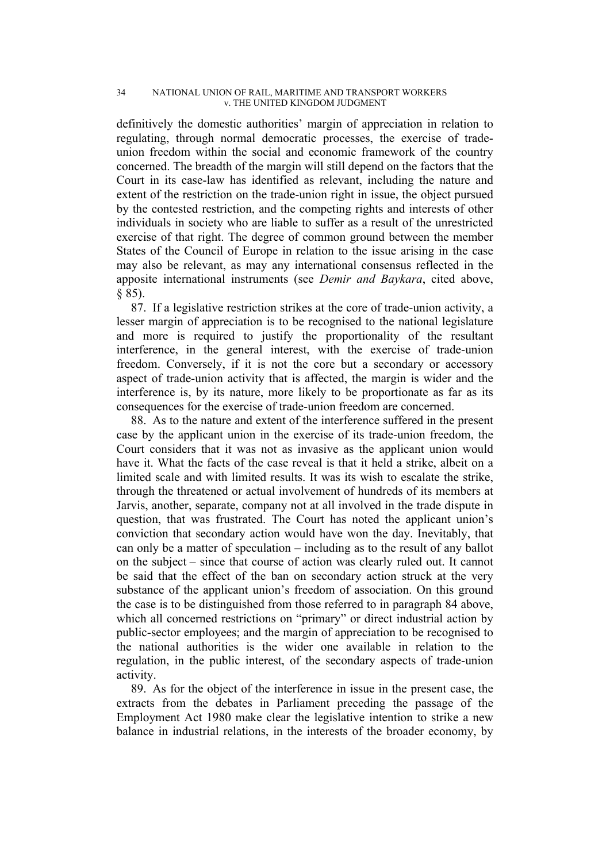definitively the domestic authorities' margin of appreciation in relation to regulating, through normal democratic processes, the exercise of tradeunion freedom within the social and economic framework of the country concerned. The breadth of the margin will still depend on the factors that the Court in its case-law has identified as relevant, including the nature and extent of the restriction on the trade-union right in issue, the object pursued by the contested restriction, and the competing rights and interests of other individuals in society who are liable to suffer as a result of the unrestricted exercise of that right. The degree of common ground between the member States of the Council of Europe in relation to the issue arising in the case may also be relevant, as may any international consensus reflected in the apposite international instruments (see *Demir and Baykara*, cited above, § 85).

87. If a legislative restriction strikes at the core of trade-union activity, a lesser margin of appreciation is to be recognised to the national legislature and more is required to justify the proportionality of the resultant interference, in the general interest, with the exercise of trade-union freedom. Conversely, if it is not the core but a secondary or accessory aspect of trade-union activity that is affected, the margin is wider and the interference is, by its nature, more likely to be proportionate as far as its consequences for the exercise of trade-union freedom are concerned.

88. As to the nature and extent of the interference suffered in the present case by the applicant union in the exercise of its trade-union freedom, the Court considers that it was not as invasive as the applicant union would have it. What the facts of the case reveal is that it held a strike, albeit on a limited scale and with limited results. It was its wish to escalate the strike, through the threatened or actual involvement of hundreds of its members at Jarvis, another, separate, company not at all involved in the trade dispute in question, that was frustrated. The Court has noted the applicant union's conviction that secondary action would have won the day. Inevitably, that can only be a matter of speculation – including as to the result of any ballot on the subject – since that course of action was clearly ruled out. It cannot be said that the effect of the ban on secondary action struck at the very substance of the applicant union's freedom of association. On this ground the case is to be distinguished from those referred to in paragraph 84 above, which all concerned restrictions on "primary" or direct industrial action by public-sector employees; and the margin of appreciation to be recognised to the national authorities is the wider one available in relation to the regulation, in the public interest, of the secondary aspects of trade-union activity.

89. As for the object of the interference in issue in the present case, the extracts from the debates in Parliament preceding the passage of the Employment Act 1980 make clear the legislative intention to strike a new balance in industrial relations, in the interests of the broader economy, by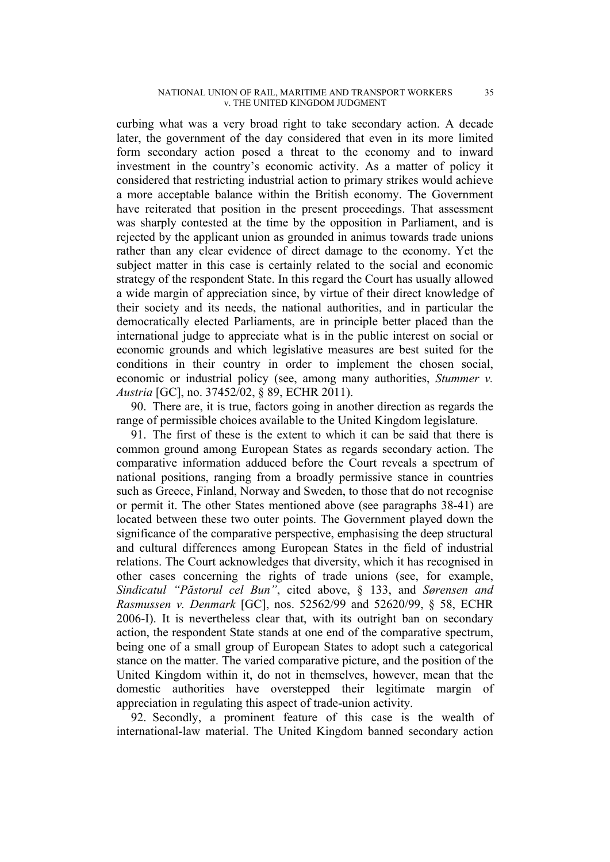curbing what was a very broad right to take secondary action. A decade later, the government of the day considered that even in its more limited form secondary action posed a threat to the economy and to inward investment in the country's economic activity. As a matter of policy it considered that restricting industrial action to primary strikes would achieve a more acceptable balance within the British economy. The Government have reiterated that position in the present proceedings. That assessment was sharply contested at the time by the opposition in Parliament, and is rejected by the applicant union as grounded in animus towards trade unions rather than any clear evidence of direct damage to the economy. Yet the subject matter in this case is certainly related to the social and economic strategy of the respondent State. In this regard the Court has usually allowed a wide margin of appreciation since, by virtue of their direct knowledge of their society and its needs, the national authorities, and in particular the democratically elected Parliaments, are in principle better placed than the international judge to appreciate what is in the public interest on social or economic grounds and which legislative measures are best suited for the conditions in their country in order to implement the chosen social, economic or industrial policy (see, among many authorities, *Stummer v. Austria* [GC], no. 37452/02, § 89, ECHR 2011).

90. There are, it is true, factors going in another direction as regards the range of permissible choices available to the United Kingdom legislature.

91. The first of these is the extent to which it can be said that there is common ground among European States as regards secondary action. The comparative information adduced before the Court reveals a spectrum of national positions, ranging from a broadly permissive stance in countries such as Greece, Finland, Norway and Sweden, to those that do not recognise or permit it. The other States mentioned above (see paragraphs 38-41) are located between these two outer points. The Government played down the significance of the comparative perspective, emphasising the deep structural and cultural differences among European States in the field of industrial relations. The Court acknowledges that diversity, which it has recognised in other cases concerning the rights of trade unions (see, for example, *Sindicatul "Păstorul cel Bun"*, cited above, § 133, and *Sørensen and Rasmussen v. Denmark* [GC], nos. 52562/99 and 52620/99, § 58, ECHR 2006-I). It is nevertheless clear that, with its outright ban on secondary action, the respondent State stands at one end of the comparative spectrum, being one of a small group of European States to adopt such a categorical stance on the matter. The varied comparative picture, and the position of the United Kingdom within it, do not in themselves, however, mean that the domestic authorities have overstepped their legitimate margin of appreciation in regulating this aspect of trade-union activity.

92. Secondly, a prominent feature of this case is the wealth of international-law material. The United Kingdom banned secondary action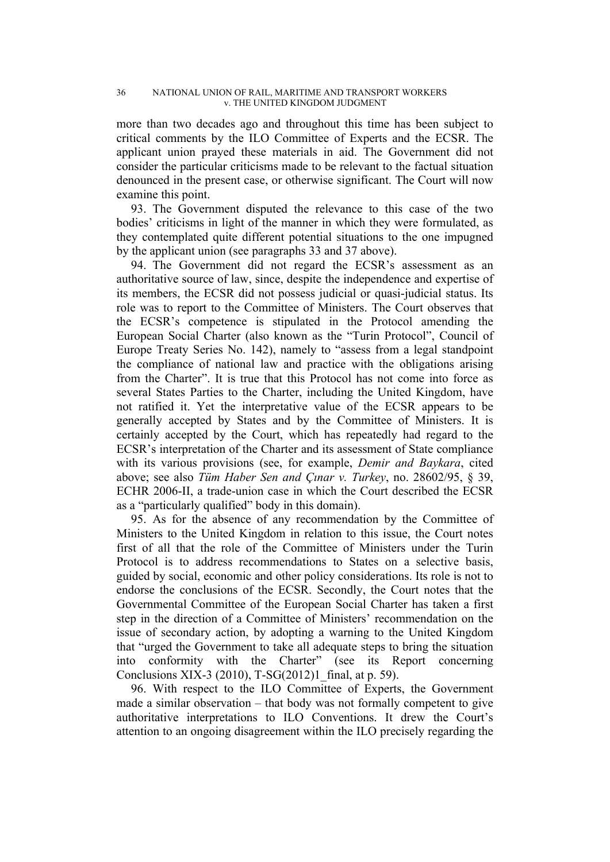more than two decades ago and throughout this time has been subject to critical comments by the ILO Committee of Experts and the ECSR. The applicant union prayed these materials in aid. The Government did not consider the particular criticisms made to be relevant to the factual situation denounced in the present case, or otherwise significant. The Court will now examine this point.

93. The Government disputed the relevance to this case of the two bodies' criticisms in light of the manner in which they were formulated, as they contemplated quite different potential situations to the one impugned by the applicant union (see paragraphs 33 and 37 above).

94. The Government did not regard the ECSR's assessment as an authoritative source of law, since, despite the independence and expertise of its members, the ECSR did not possess judicial or quasi-judicial status. Its role was to report to the Committee of Ministers. The Court observes that the ECSR's competence is stipulated in the Protocol amending the European Social Charter (also known as the "Turin Protocol", Council of Europe Treaty Series No. 142), namely to "assess from a legal standpoint the compliance of national law and practice with the obligations arising from the Charter". It is true that this Protocol has not come into force as several States Parties to the Charter, including the United Kingdom, have not ratified it. Yet the interpretative value of the ECSR appears to be generally accepted by States and by the Committee of Ministers. It is certainly accepted by the Court, which has repeatedly had regard to the ECSR's interpretation of the Charter and its assessment of State compliance with its various provisions (see, for example, *Demir and Baykara*, cited above; see also *Tüm Haber Sen and Çınar v. Turkey*, no. 28602/95, § 39, ECHR 2006-II, a trade-union case in which the Court described the ECSR as a "particularly qualified" body in this domain).

95. As for the absence of any recommendation by the Committee of Ministers to the United Kingdom in relation to this issue, the Court notes first of all that the role of the Committee of Ministers under the Turin Protocol is to address recommendations to States on a selective basis, guided by social, economic and other policy considerations. Its role is not to endorse the conclusions of the ECSR. Secondly, the Court notes that the Governmental Committee of the European Social Charter has taken a first step in the direction of a Committee of Ministers' recommendation on the issue of secondary action, by adopting a warning to the United Kingdom that "urged the Government to take all adequate steps to bring the situation into conformity with the Charter" (see its Report concerning Conclusions XIX-3 (2010), T-SG(2012)1 final, at p. 59).

96. With respect to the ILO Committee of Experts, the Government made a similar observation – that body was not formally competent to give authoritative interpretations to ILO Conventions. It drew the Court's attention to an ongoing disagreement within the ILO precisely regarding the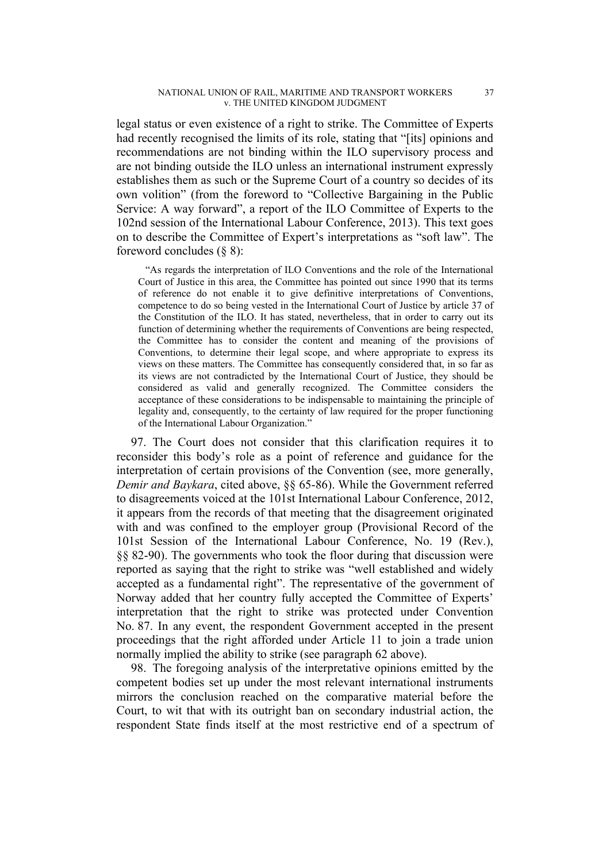legal status or even existence of a right to strike. The Committee of Experts had recently recognised the limits of its role, stating that "[its] opinions and recommendations are not binding within the ILO supervisory process and are not binding outside the ILO unless an international instrument expressly establishes them as such or the Supreme Court of a country so decides of its own volition" (from the foreword to "Collective Bargaining in the Public Service: A way forward", a report of the ILO Committee of Experts to the 102nd session of the International Labour Conference, 2013). This text goes on to describe the Committee of Expert's interpretations as "soft law". The foreword concludes (§ 8):

"As regards the interpretation of ILO Conventions and the role of the International Court of Justice in this area, the Committee has pointed out since 1990 that its terms of reference do not enable it to give definitive interpretations of Conventions, competence to do so being vested in the International Court of Justice by article 37 of the Constitution of the ILO. It has stated, nevertheless, that in order to carry out its function of determining whether the requirements of Conventions are being respected, the Committee has to consider the content and meaning of the provisions of Conventions, to determine their legal scope, and where appropriate to express its views on these matters. The Committee has consequently considered that, in so far as its views are not contradicted by the International Court of Justice, they should be considered as valid and generally recognized. The Committee considers the acceptance of these considerations to be indispensable to maintaining the principle of legality and, consequently, to the certainty of law required for the proper functioning of the International Labour Organization."

97. The Court does not consider that this clarification requires it to reconsider this body's role as a point of reference and guidance for the interpretation of certain provisions of the Convention (see, more generally, *Demir and Baykara*, cited above, §§ 65-86). While the Government referred to disagreements voiced at the 101st International Labour Conference, 2012, it appears from the records of that meeting that the disagreement originated with and was confined to the employer group (Provisional Record of the 101st Session of the International Labour Conference, No. 19 (Rev.), §§ 82-90). The governments who took the floor during that discussion were reported as saying that the right to strike was "well established and widely accepted as a fundamental right". The representative of the government of Norway added that her country fully accepted the Committee of Experts' interpretation that the right to strike was protected under Convention No. 87. In any event, the respondent Government accepted in the present proceedings that the right afforded under Article 11 to join a trade union normally implied the ability to strike (see paragraph 62 above).

98. The foregoing analysis of the interpretative opinions emitted by the competent bodies set up under the most relevant international instruments mirrors the conclusion reached on the comparative material before the Court, to wit that with its outright ban on secondary industrial action, the respondent State finds itself at the most restrictive end of a spectrum of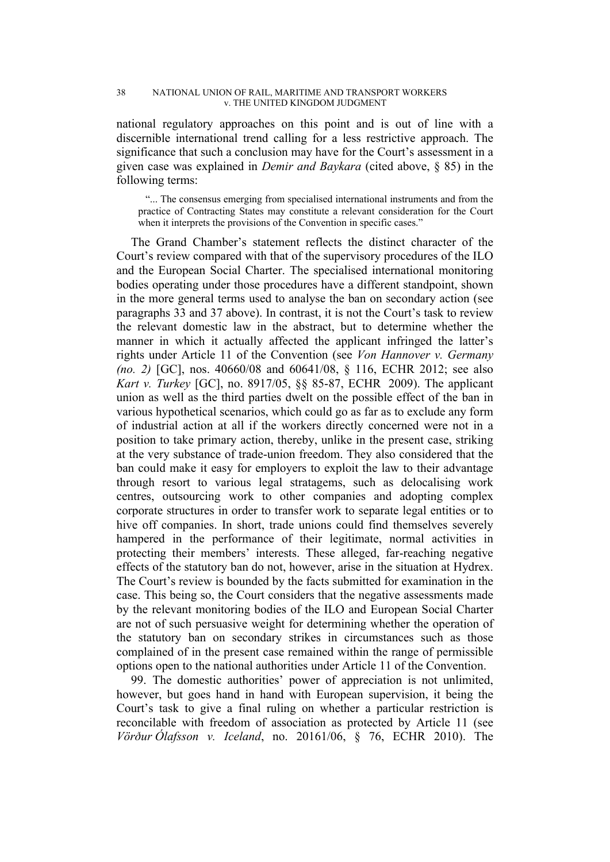national regulatory approaches on this point and is out of line with a discernible international trend calling for a less restrictive approach. The significance that such a conclusion may have for the Court's assessment in a given case was explained in *Demir and Baykara* (cited above, § 85) in the following terms:

"... The consensus emerging from specialised international instruments and from the practice of Contracting States may constitute a relevant consideration for the Court when it interprets the provisions of the Convention in specific cases."

The Grand Chamber's statement reflects the distinct character of the Court's review compared with that of the supervisory procedures of the ILO and the European Social Charter. The specialised international monitoring bodies operating under those procedures have a different standpoint, shown in the more general terms used to analyse the ban on secondary action (see paragraphs 33 and 37 above). In contrast, it is not the Court's task to review the relevant domestic law in the abstract, but to determine whether the manner in which it actually affected the applicant infringed the latter's rights under Article 11 of the Convention (see *Von Hannover v. Germany (no. 2)* [GC], nos. 40660/08 and 60641/08, § 116, ECHR 2012; see also *Kart v. Turkey* [GC], no. 8917/05, §§ 85-87, ECHR 2009). The applicant union as well as the third parties dwelt on the possible effect of the ban in various hypothetical scenarios, which could go as far as to exclude any form of industrial action at all if the workers directly concerned were not in a position to take primary action, thereby, unlike in the present case, striking at the very substance of trade-union freedom. They also considered that the ban could make it easy for employers to exploit the law to their advantage through resort to various legal stratagems, such as delocalising work centres, outsourcing work to other companies and adopting complex corporate structures in order to transfer work to separate legal entities or to hive off companies. In short, trade unions could find themselves severely hampered in the performance of their legitimate, normal activities in protecting their members' interests. These alleged, far-reaching negative effects of the statutory ban do not, however, arise in the situation at Hydrex. The Court's review is bounded by the facts submitted for examination in the case. This being so, the Court considers that the negative assessments made by the relevant monitoring bodies of the ILO and European Social Charter are not of such persuasive weight for determining whether the operation of the statutory ban on secondary strikes in circumstances such as those complained of in the present case remained within the range of permissible options open to the national authorities under Article 11 of the Convention.

99. The domestic authorities' power of appreciation is not unlimited, however, but goes hand in hand with European supervision, it being the Court's task to give a final ruling on whether a particular restriction is reconcilable with freedom of association as protected by Article 11 (see *Vörður Ólafsson v. Iceland*, no. 20161/06, § 76, ECHR 2010). The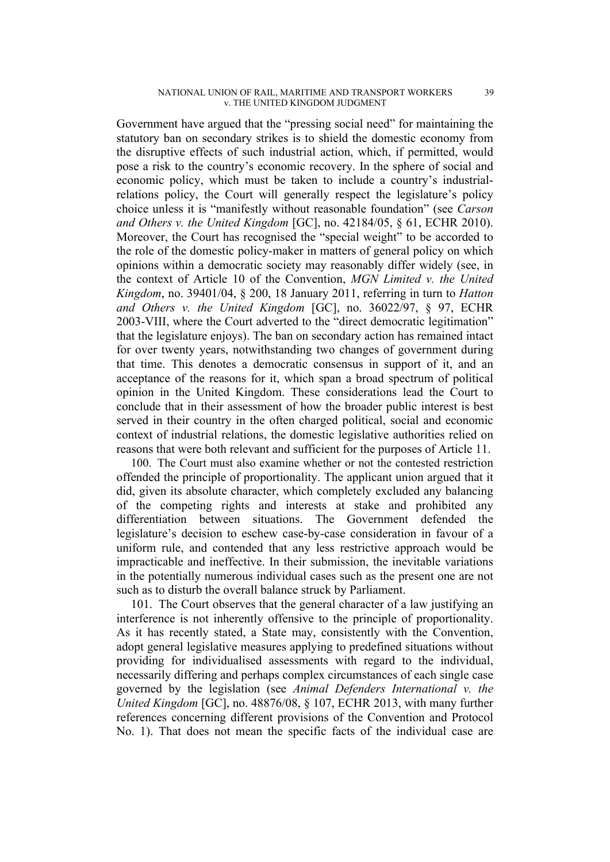Government have argued that the "pressing social need" for maintaining the statutory ban on secondary strikes is to shield the domestic economy from the disruptive effects of such industrial action, which, if permitted, would pose a risk to the country's economic recovery. In the sphere of social and economic policy, which must be taken to include a country's industrialrelations policy, the Court will generally respect the legislature's policy choice unless it is "manifestly without reasonable foundation" (see *Carson and Others v. the United Kingdom* [GC], no. 42184/05, § 61, ECHR 2010). Moreover, the Court has recognised the "special weight" to be accorded to the role of the domestic policy-maker in matters of general policy on which opinions within a democratic society may reasonably differ widely (see, in the context of Article 10 of the Convention, *MGN Limited v. the United Kingdom*, no. 39401/04, § 200, 18 January 2011, referring in turn to *Hatton and Others v. the United Kingdom* [GC], no. 36022/97, § 97, ECHR 2003-VIII, where the Court adverted to the "direct democratic legitimation" that the legislature enjoys). The ban on secondary action has remained intact for over twenty years, notwithstanding two changes of government during that time. This denotes a democratic consensus in support of it, and an acceptance of the reasons for it, which span a broad spectrum of political opinion in the United Kingdom. These considerations lead the Court to conclude that in their assessment of how the broader public interest is best served in their country in the often charged political, social and economic context of industrial relations, the domestic legislative authorities relied on reasons that were both relevant and sufficient for the purposes of Article 11.

100. The Court must also examine whether or not the contested restriction offended the principle of proportionality. The applicant union argued that it did, given its absolute character, which completely excluded any balancing of the competing rights and interests at stake and prohibited any differentiation between situations. The Government defended the legislature's decision to eschew case-by-case consideration in favour of a uniform rule, and contended that any less restrictive approach would be impracticable and ineffective. In their submission, the inevitable variations in the potentially numerous individual cases such as the present one are not such as to disturb the overall balance struck by Parliament.

101. The Court observes that the general character of a law justifying an interference is not inherently offensive to the principle of proportionality. As it has recently stated, a State may, consistently with the Convention, adopt general legislative measures applying to predefined situations without providing for individualised assessments with regard to the individual, necessarily differing and perhaps complex circumstances of each single case governed by the legislation (see *Animal Defenders International v. the United Kingdom* [GC], no. 48876/08, § 107, ECHR 2013, with many further references concerning different provisions of the Convention and Protocol No. 1). That does not mean the specific facts of the individual case are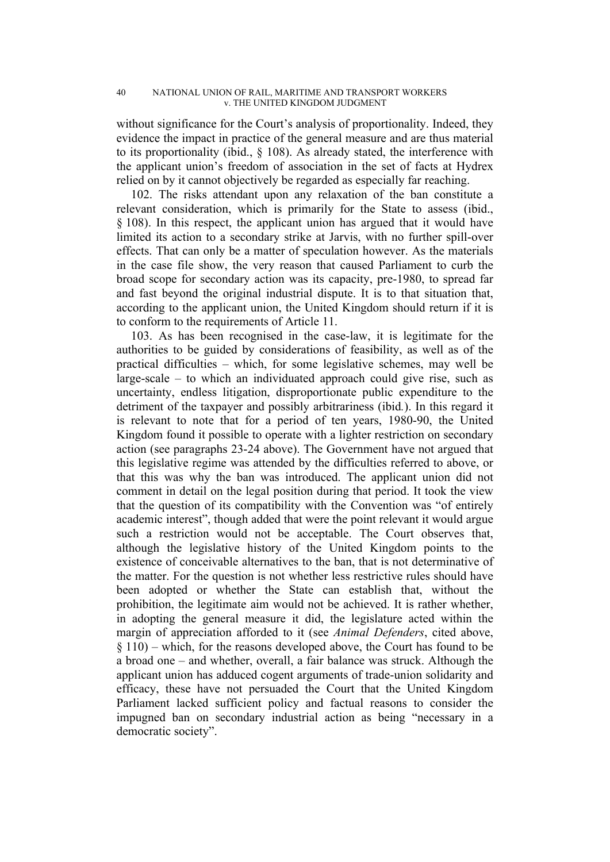without significance for the Court's analysis of proportionality. Indeed, they evidence the impact in practice of the general measure and are thus material to its proportionality (ibid., § 108). As already stated, the interference with the applicant union's freedom of association in the set of facts at Hydrex relied on by it cannot objectively be regarded as especially far reaching.

102. The risks attendant upon any relaxation of the ban constitute a relevant consideration, which is primarily for the State to assess (ibid., § 108). In this respect, the applicant union has argued that it would have limited its action to a secondary strike at Jarvis, with no further spill-over effects. That can only be a matter of speculation however. As the materials in the case file show, the very reason that caused Parliament to curb the broad scope for secondary action was its capacity, pre-1980, to spread far and fast beyond the original industrial dispute. It is to that situation that, according to the applicant union, the United Kingdom should return if it is to conform to the requirements of Article 11.

103. As has been recognised in the case-law, it is legitimate for the authorities to be guided by considerations of feasibility, as well as of the practical difficulties – which, for some legislative schemes, may well be large-scale – to which an individuated approach could give rise, such as uncertainty, endless litigation, disproportionate public expenditure to the detriment of the taxpayer and possibly arbitrariness (ibid*.*). In this regard it is relevant to note that for a period of ten years, 1980-90, the United Kingdom found it possible to operate with a lighter restriction on secondary action (see paragraphs 23-24 above). The Government have not argued that this legislative regime was attended by the difficulties referred to above, or that this was why the ban was introduced. The applicant union did not comment in detail on the legal position during that period. It took the view that the question of its compatibility with the Convention was "of entirely academic interest", though added that were the point relevant it would argue such a restriction would not be acceptable. The Court observes that, although the legislative history of the United Kingdom points to the existence of conceivable alternatives to the ban, that is not determinative of the matter. For the question is not whether less restrictive rules should have been adopted or whether the State can establish that, without the prohibition, the legitimate aim would not be achieved. It is rather whether, in adopting the general measure it did, the legislature acted within the margin of appreciation afforded to it (see *Animal Defenders*, cited above, § 110) – which, for the reasons developed above, the Court has found to be a broad one – and whether, overall, a fair balance was struck. Although the applicant union has adduced cogent arguments of trade-union solidarity and efficacy, these have not persuaded the Court that the United Kingdom Parliament lacked sufficient policy and factual reasons to consider the impugned ban on secondary industrial action as being "necessary in a democratic society".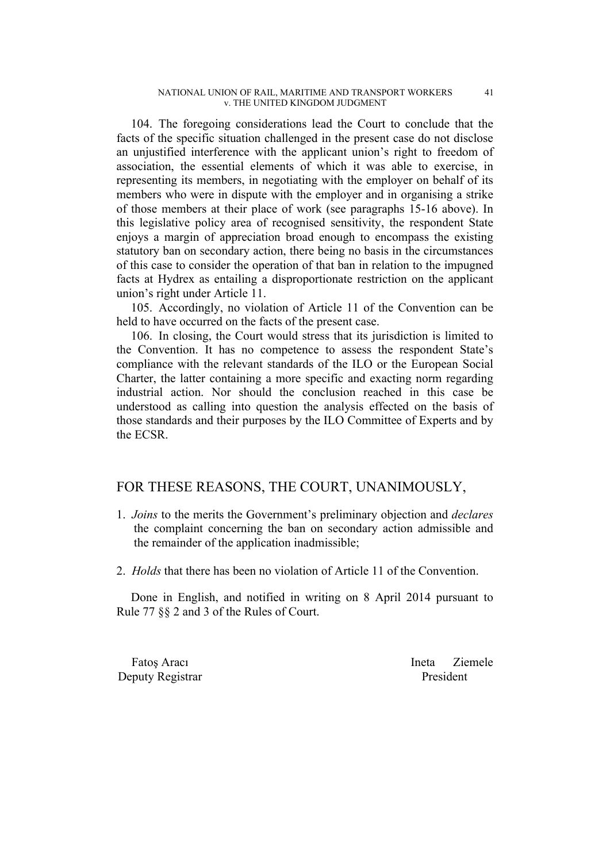104. The foregoing considerations lead the Court to conclude that the facts of the specific situation challenged in the present case do not disclose an unjustified interference with the applicant union's right to freedom of association, the essential elements of which it was able to exercise, in representing its members, in negotiating with the employer on behalf of its members who were in dispute with the employer and in organising a strike of those members at their place of work (see paragraphs 15-16 above). In this legislative policy area of recognised sensitivity, the respondent State enjoys a margin of appreciation broad enough to encompass the existing statutory ban on secondary action, there being no basis in the circumstances of this case to consider the operation of that ban in relation to the impugned facts at Hydrex as entailing a disproportionate restriction on the applicant union's right under Article 11.

105. Accordingly, no violation of Article 11 of the Convention can be held to have occurred on the facts of the present case.

106. In closing, the Court would stress that its jurisdiction is limited to the Convention. It has no competence to assess the respondent State's compliance with the relevant standards of the ILO or the European Social Charter, the latter containing a more specific and exacting norm regarding industrial action. Nor should the conclusion reached in this case be understood as calling into question the analysis effected on the basis of those standards and their purposes by the ILO Committee of Experts and by the ECSR.

# FOR THESE REASONS, THE COURT, UNANIMOUSLY,

- 1. *Joins* to the merits the Government's preliminary objection and *declares* the complaint concerning the ban on secondary action admissible and the remainder of the application inadmissible;
- 2. *Holds* that there has been no violation of Article 11 of the Convention.

Done in English, and notified in writing on 8 April 2014 pursuant to Rule 77 §§ 2 and 3 of the Rules of Court.

Deputy Registrar President

Fatos Aracı **Ineta** Ziemele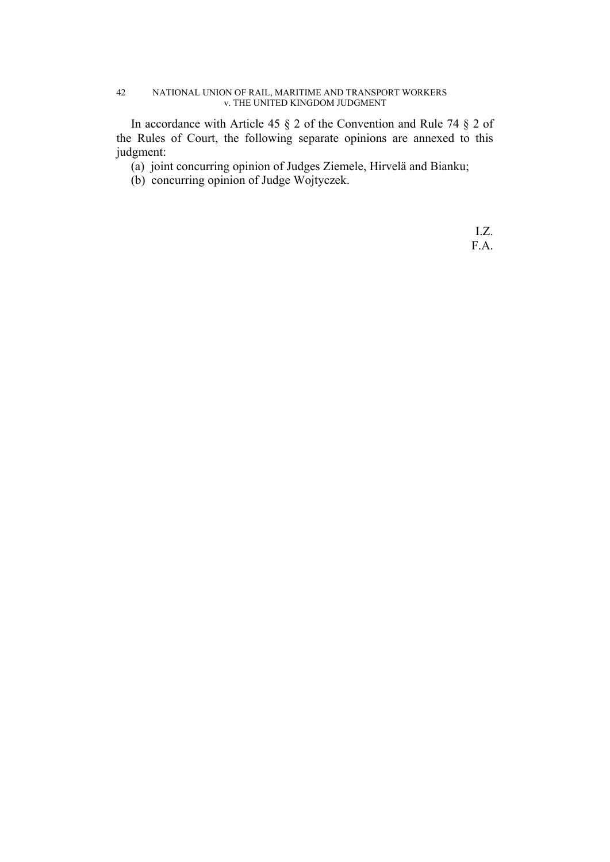In accordance with Article 45 § 2 of the Convention and Rule 74 § 2 of the Rules of Court, the following separate opinions are annexed to this judgment:

(a) joint concurring opinion of Judges Ziemele, Hirvelä and Bianku;

(b) concurring opinion of Judge Wojtyczek.

I.Z. F.A.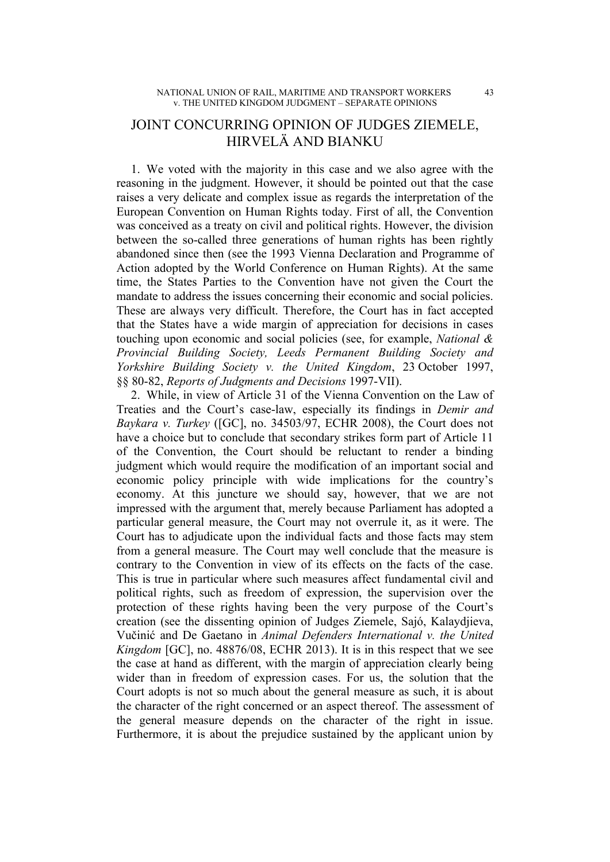# JOINT CONCURRING OPINION OF JUDGES ZIEMELE, HIRVELÄ AND BIANKU

1. We voted with the majority in this case and we also agree with the reasoning in the judgment. However, it should be pointed out that the case raises a very delicate and complex issue as regards the interpretation of the European Convention on Human Rights today. First of all, the Convention was conceived as a treaty on civil and political rights. However, the division between the so-called three generations of human rights has been rightly abandoned since then (see the 1993 Vienna Declaration and Programme of Action adopted by the World Conference on Human Rights). At the same time, the States Parties to the Convention have not given the Court the mandate to address the issues concerning their economic and social policies. These are always very difficult. Therefore, the Court has in fact accepted that the States have a wide margin of appreciation for decisions in cases touching upon economic and social policies (see, for example, *National & Provincial Building Society, Leeds Permanent Building Society and Yorkshire Building Society v. the United Kingdom*, 23 October 1997, §§ 80-82, *Reports of Judgments and Decisions* 1997-VII).

2. While, in view of Article 31 of the Vienna Convention on the Law of Treaties and the Court's case-law, especially its findings in *Demir and Baykara v. Turkey* ([GC], no. 34503/97, ECHR 2008), the Court does not have a choice but to conclude that secondary strikes form part of Article 11 of the Convention, the Court should be reluctant to render a binding judgment which would require the modification of an important social and economic policy principle with wide implications for the country's economy. At this juncture we should say, however, that we are not impressed with the argument that, merely because Parliament has adopted a particular general measure, the Court may not overrule it, as it were. The Court has to adjudicate upon the individual facts and those facts may stem from a general measure. The Court may well conclude that the measure is contrary to the Convention in view of its effects on the facts of the case. This is true in particular where such measures affect fundamental civil and political rights, such as freedom of expression, the supervision over the protection of these rights having been the very purpose of the Court's creation (see the dissenting opinion of Judges Ziemele, Sajó, Kalaydjieva, Vučinić and De Gaetano in *Animal Defenders International v. the United Kingdom* [GC], no. 48876/08, ECHR 2013). It is in this respect that we see the case at hand as different, with the margin of appreciation clearly being wider than in freedom of expression cases. For us, the solution that the Court adopts is not so much about the general measure as such, it is about the character of the right concerned or an aspect thereof. The assessment of the general measure depends on the character of the right in issue. Furthermore, it is about the prejudice sustained by the applicant union by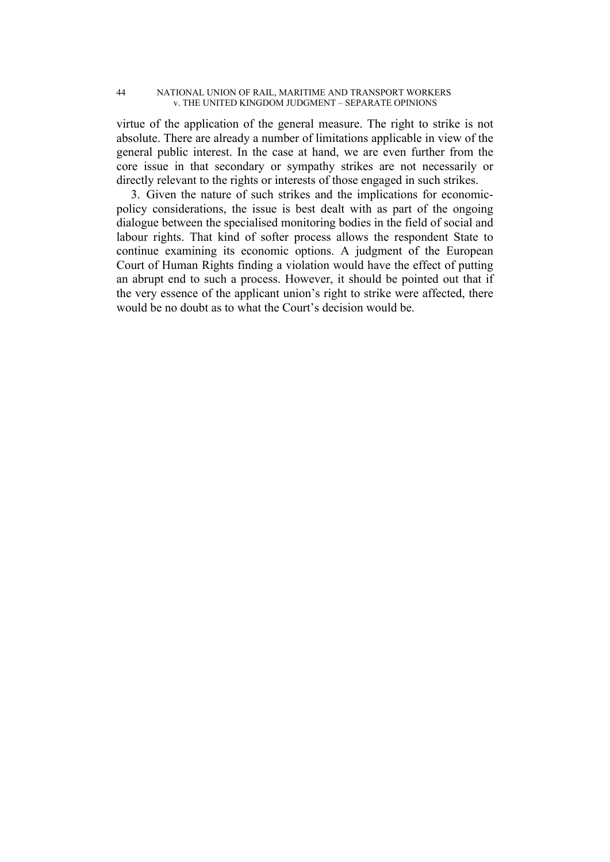#### 44 NATIONAL UNION OF RAIL, MARITIME AND TRANSPORT WORKERS v. THE UNITED KINGDOM JUDGMENT – SEPARATE OPINIONS

virtue of the application of the general measure. The right to strike is not absolute. There are already a number of limitations applicable in view of the general public interest. In the case at hand, we are even further from the core issue in that secondary or sympathy strikes are not necessarily or directly relevant to the rights or interests of those engaged in such strikes.

3. Given the nature of such strikes and the implications for economicpolicy considerations, the issue is best dealt with as part of the ongoing dialogue between the specialised monitoring bodies in the field of social and labour rights. That kind of softer process allows the respondent State to continue examining its economic options. A judgment of the European Court of Human Rights finding a violation would have the effect of putting an abrupt end to such a process. However, it should be pointed out that if the very essence of the applicant union's right to strike were affected, there would be no doubt as to what the Court's decision would be.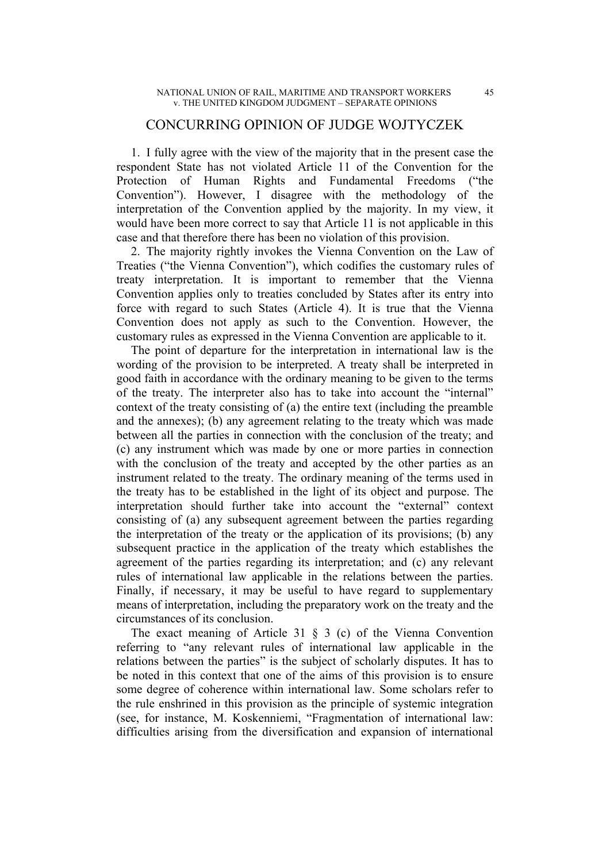# CONCURRING OPINION OF JUDGE WOJTYCZEK

1. I fully agree with the view of the majority that in the present case the respondent State has not violated Article 11 of the Convention for the Protection of Human Rights and Fundamental Freedoms ("the Convention"). However, I disagree with the methodology of the interpretation of the Convention applied by the majority. In my view, it would have been more correct to say that Article 11 is not applicable in this case and that therefore there has been no violation of this provision.

2. The majority rightly invokes the Vienna Convention on the Law of Treaties ("the Vienna Convention"), which codifies the customary rules of treaty interpretation. It is important to remember that the Vienna Convention applies only to treaties concluded by States after its entry into force with regard to such States (Article 4). It is true that the Vienna Convention does not apply as such to the Convention. However, the customary rules as expressed in the Vienna Convention are applicable to it.

The point of departure for the interpretation in international law is the wording of the provision to be interpreted. A treaty shall be interpreted in good faith in accordance with the ordinary meaning to be given to the terms of the treaty. The interpreter also has to take into account the "internal" context of the treaty consisting of (a) the entire text (including the preamble and the annexes); (b) any agreement relating to the treaty which was made between all the parties in connection with the conclusion of the treaty; and (c) any instrument which was made by one or more parties in connection with the conclusion of the treaty and accepted by the other parties as an instrument related to the treaty. The ordinary meaning of the terms used in the treaty has to be established in the light of its object and purpose. The interpretation should further take into account the "external" context consisting of (a) any subsequent agreement between the parties regarding the interpretation of the treaty or the application of its provisions; (b) any subsequent practice in the application of the treaty which establishes the agreement of the parties regarding its interpretation; and (c) any relevant rules of international law applicable in the relations between the parties. Finally, if necessary, it may be useful to have regard to supplementary means of interpretation, including the preparatory work on the treaty and the circumstances of its conclusion.

The exact meaning of Article 31 § 3 (c) of the Vienna Convention referring to "any relevant rules of international law applicable in the relations between the parties" is the subject of scholarly disputes. It has to be noted in this context that one of the aims of this provision is to ensure some degree of coherence within international law. Some scholars refer to the rule enshrined in this provision as the principle of systemic integration (see, for instance, M. Koskenniemi, "Fragmentation of international law: difficulties arising from the diversification and expansion of international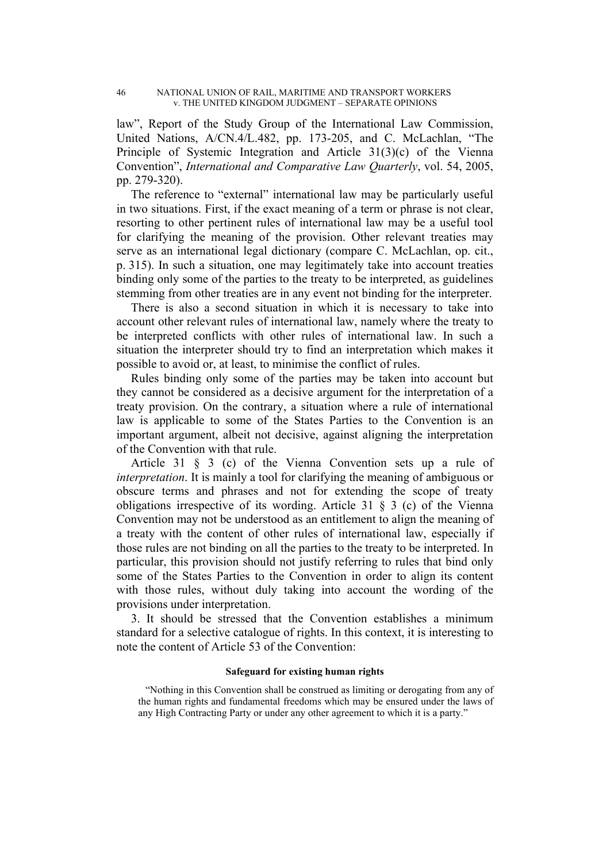#### 46 NATIONAL UNION OF RAIL, MARITIME AND TRANSPORT WORKERS v. THE UNITED KINGDOM JUDGMENT – SEPARATE OPINIONS

law", Report of the Study Group of the International Law Commission, United Nations, A/CN.4/L.482, pp. 173-205, and C. McLachlan, "The Principle of Systemic Integration and Article 31(3)(c) of the Vienna Convention", *International and Comparative Law Quarterly*, vol. 54, 2005, pp. 279-320).

The reference to "external" international law may be particularly useful in two situations. First, if the exact meaning of a term or phrase is not clear, resorting to other pertinent rules of international law may be a useful tool for clarifying the meaning of the provision. Other relevant treaties may serve as an international legal dictionary (compare C. McLachlan, op. cit., p. 315). In such a situation, one may legitimately take into account treaties binding only some of the parties to the treaty to be interpreted, as guidelines stemming from other treaties are in any event not binding for the interpreter.

There is also a second situation in which it is necessary to take into account other relevant rules of international law, namely where the treaty to be interpreted conflicts with other rules of international law. In such a situation the interpreter should try to find an interpretation which makes it possible to avoid or, at least, to minimise the conflict of rules.

Rules binding only some of the parties may be taken into account but they cannot be considered as a decisive argument for the interpretation of a treaty provision. On the contrary, a situation where a rule of international law is applicable to some of the States Parties to the Convention is an important argument, albeit not decisive, against aligning the interpretation of the Convention with that rule.

Article 31 § 3 (c) of the Vienna Convention sets up a rule of *interpretation*. It is mainly a tool for clarifying the meaning of ambiguous or obscure terms and phrases and not for extending the scope of treaty obligations irrespective of its wording. Article 31 § 3 (c) of the Vienna Convention may not be understood as an entitlement to align the meaning of a treaty with the content of other rules of international law, especially if those rules are not binding on all the parties to the treaty to be interpreted. In particular, this provision should not justify referring to rules that bind only some of the States Parties to the Convention in order to align its content with those rules, without duly taking into account the wording of the provisions under interpretation.

3. It should be stressed that the Convention establishes a minimum standard for a selective catalogue of rights. In this context, it is interesting to note the content of Article 53 of the Convention:

### **Safeguard for existing human rights**

"Nothing in this Convention shall be construed as limiting or derogating from any of the human rights and fundamental freedoms which may be ensured under the laws of any High Contracting Party or under any other agreement to which it is a party."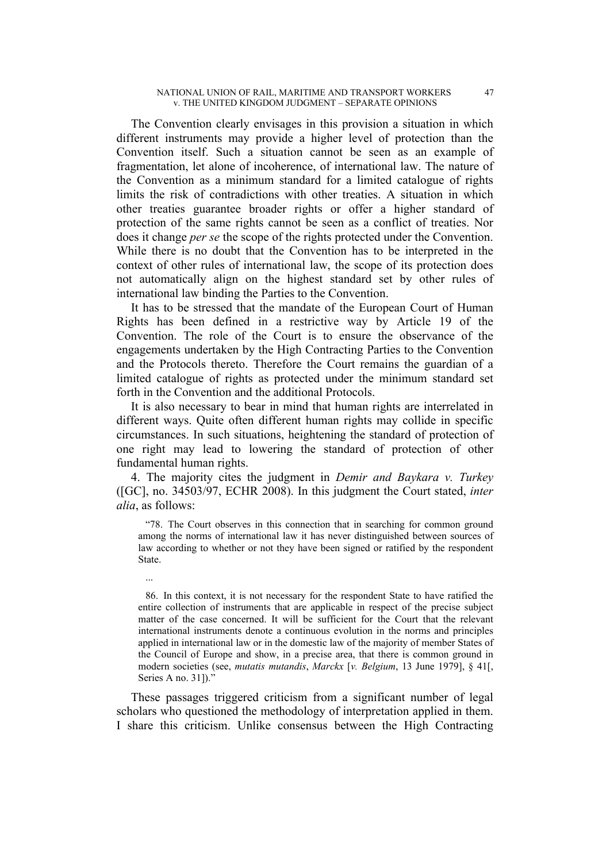The Convention clearly envisages in this provision a situation in which different instruments may provide a higher level of protection than the Convention itself. Such a situation cannot be seen as an example of fragmentation, let alone of incoherence, of international law. The nature of the Convention as a minimum standard for a limited catalogue of rights limits the risk of contradictions with other treaties. A situation in which other treaties guarantee broader rights or offer a higher standard of protection of the same rights cannot be seen as a conflict of treaties. Nor does it change *per se* the scope of the rights protected under the Convention. While there is no doubt that the Convention has to be interpreted in the context of other rules of international law, the scope of its protection does not automatically align on the highest standard set by other rules of international law binding the Parties to the Convention.

It has to be stressed that the mandate of the European Court of Human Rights has been defined in a restrictive way by Article 19 of the Convention. The role of the Court is to ensure the observance of the engagements undertaken by the High Contracting Parties to the Convention and the Protocols thereto. Therefore the Court remains the guardian of a limited catalogue of rights as protected under the minimum standard set forth in the Convention and the additional Protocols.

It is also necessary to bear in mind that human rights are interrelated in different ways. Quite often different human rights may collide in specific circumstances. In such situations, heightening the standard of protection of one right may lead to lowering the standard of protection of other fundamental human rights.

4. The majority cites the judgment in *Demir and Baykara v. Turkey* ([GC], no. 34503/97, ECHR 2008). In this judgment the Court stated, *inter alia*, as follows:

...

"78. The Court observes in this connection that in searching for common ground among the norms of international law it has never distinguished between sources of law according to whether or not they have been signed or ratified by the respondent State.

86. In this context, it is not necessary for the respondent State to have ratified the entire collection of instruments that are applicable in respect of the precise subject matter of the case concerned. It will be sufficient for the Court that the relevant international instruments denote a continuous evolution in the norms and principles applied in international law or in the domestic law of the majority of member States of the Council of Europe and show, in a precise area, that there is common ground in modern societies (see, *mutatis mutandis*, *Marckx* [*v. Belgium*, 13 June 1979], § 41[, Series A no. 31])."

These passages triggered criticism from a significant number of legal scholars who questioned the methodology of interpretation applied in them. I share this criticism. Unlike consensus between the High Contracting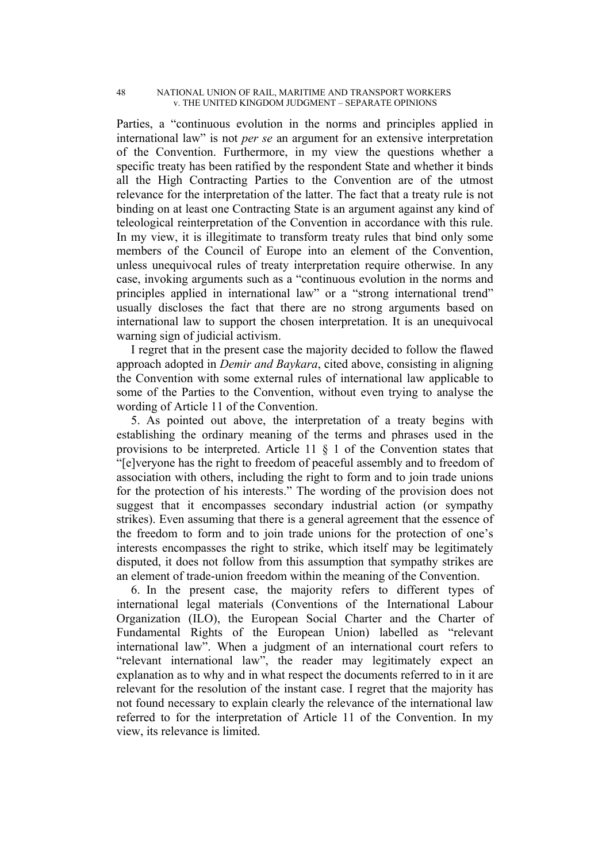#### 48 NATIONAL UNION OF RAIL, MARITIME AND TRANSPORT WORKERS v. THE UNITED KINGDOM JUDGMENT – SEPARATE OPINIONS

Parties, a "continuous evolution in the norms and principles applied in international law" is not *per se* an argument for an extensive interpretation of the Convention. Furthermore, in my view the questions whether a specific treaty has been ratified by the respondent State and whether it binds all the High Contracting Parties to the Convention are of the utmost relevance for the interpretation of the latter. The fact that a treaty rule is not binding on at least one Contracting State is an argument against any kind of teleological reinterpretation of the Convention in accordance with this rule. In my view, it is illegitimate to transform treaty rules that bind only some members of the Council of Europe into an element of the Convention, unless unequivocal rules of treaty interpretation require otherwise. In any case, invoking arguments such as a "continuous evolution in the norms and principles applied in international law" or a "strong international trend" usually discloses the fact that there are no strong arguments based on international law to support the chosen interpretation. It is an unequivocal warning sign of judicial activism.

I regret that in the present case the majority decided to follow the flawed approach adopted in *Demir and Baykara*, cited above, consisting in aligning the Convention with some external rules of international law applicable to some of the Parties to the Convention, without even trying to analyse the wording of Article 11 of the Convention.

5. As pointed out above, the interpretation of a treaty begins with establishing the ordinary meaning of the terms and phrases used in the provisions to be interpreted. Article 11 § 1 of the Convention states that "[e]veryone has the right to freedom of peaceful assembly and to freedom of association with others, including the right to form and to join trade unions for the protection of his interests." The wording of the provision does not suggest that it encompasses secondary industrial action (or sympathy strikes). Even assuming that there is a general agreement that the essence of the freedom to form and to join trade unions for the protection of one's interests encompasses the right to strike, which itself may be legitimately disputed, it does not follow from this assumption that sympathy strikes are an element of trade-union freedom within the meaning of the Convention.

6. In the present case, the majority refers to different types of international legal materials (Conventions of the International Labour Organization (ILO), the European Social Charter and the Charter of Fundamental Rights of the European Union) labelled as "relevant international law". When a judgment of an international court refers to "relevant international law", the reader may legitimately expect an explanation as to why and in what respect the documents referred to in it are relevant for the resolution of the instant case. I regret that the majority has not found necessary to explain clearly the relevance of the international law referred to for the interpretation of Article 11 of the Convention. In my view, its relevance is limited.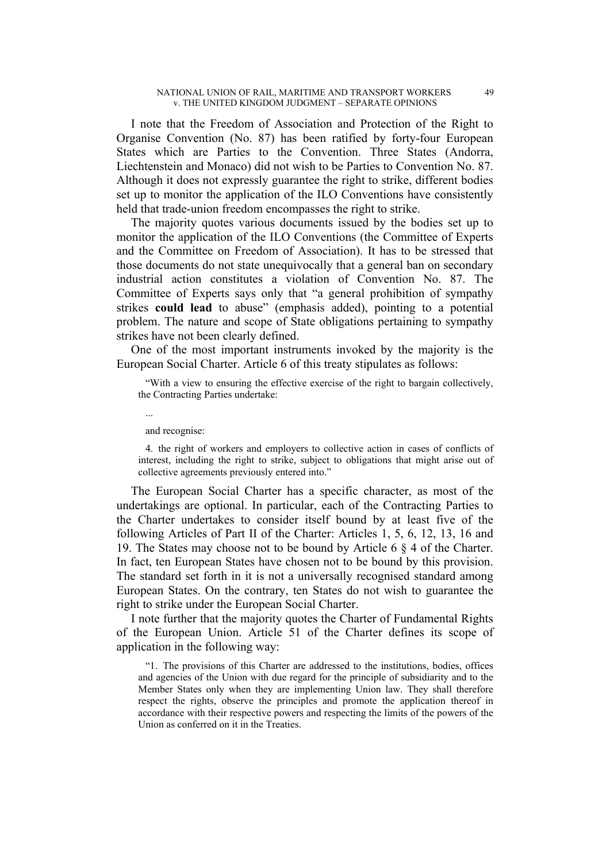I note that the Freedom of Association and Protection of the Right to Organise Convention (No. 87) has been ratified by forty-four European States which are Parties to the Convention. Three States (Andorra, Liechtenstein and Monaco) did not wish to be Parties to Convention No. 87. Although it does not expressly guarantee the right to strike, different bodies set up to monitor the application of the ILO Conventions have consistently held that trade-union freedom encompasses the right to strike.

The majority quotes various documents issued by the bodies set up to monitor the application of the ILO Conventions (the Committee of Experts and the Committee on Freedom of Association). It has to be stressed that those documents do not state unequivocally that a general ban on secondary industrial action constitutes a violation of Convention No. 87. The Committee of Experts says only that "a general prohibition of sympathy strikes **could lead** to abuse" (emphasis added), pointing to a potential problem. The nature and scope of State obligations pertaining to sympathy strikes have not been clearly defined.

One of the most important instruments invoked by the majority is the European Social Charter. Article 6 of this treaty stipulates as follows:

"With a view to ensuring the effective exercise of the right to bargain collectively, the Contracting Parties undertake:

and recognise:

...

4. the right of workers and employers to collective action in cases of conflicts of interest, including the right to strike, subject to obligations that might arise out of collective agreements previously entered into."

The European Social Charter has a specific character, as most of the undertakings are optional. In particular, each of the Contracting Parties to the Charter undertakes to consider itself bound by at least five of the following Articles of Part II of the Charter: Articles 1, 5, 6, 12, 13, 16 and 19. The States may choose not to be bound by Article 6 § 4 of the Charter. In fact, ten European States have chosen not to be bound by this provision. The standard set forth in it is not a universally recognised standard among European States. On the contrary, ten States do not wish to guarantee the right to strike under the European Social Charter.

I note further that the majority quotes the Charter of Fundamental Rights of the European Union. Article 51 of the Charter defines its scope of application in the following way:

"1. The provisions of this Charter are addressed to the institutions, bodies, offices and agencies of the Union with due regard for the principle of subsidiarity and to the Member States only when they are implementing Union law. They shall therefore respect the rights, observe the principles and promote the application thereof in accordance with their respective powers and respecting the limits of the powers of the Union as conferred on it in the Treaties.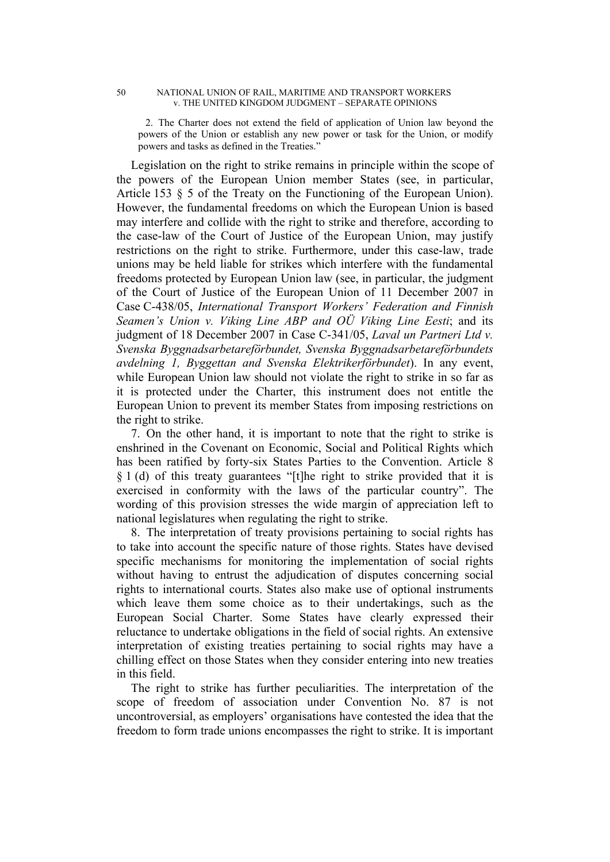#### 50 NATIONAL UNION OF RAIL, MARITIME AND TRANSPORT WORKERS v. THE UNITED KINGDOM JUDGMENT – SEPARATE OPINIONS

2. The Charter does not extend the field of application of Union law beyond the powers of the Union or establish any new power or task for the Union, or modify powers and tasks as defined in the Treaties."

Legislation on the right to strike remains in principle within the scope of the powers of the European Union member States (see, in particular, Article 153 § 5 of the Treaty on the Functioning of the European Union). However, the fundamental freedoms on which the European Union is based may interfere and collide with the right to strike and therefore, according to the case-law of the Court of Justice of the European Union, may justify restrictions on the right to strike. Furthermore, under this case-law, trade unions may be held liable for strikes which interfere with the fundamental freedoms protected by European Union law (see, in particular, the judgment of the Court of Justice of the European Union of 11 December 2007 in Case C-438/05, *International Transport Workers' Federation and Finnish Seamen's Union v. Viking Line ABP and OÜ Viking Line Eesti*; and its judgment of 18 December 2007 in Case C-341/05, *Laval un Partneri Ltd v. Svenska Byggnadsarbetareförbundet, Svenska Byggnadsarbetareförbundets avdelning 1, Byggettan and Svenska Elektrikerförbundet*). In any event, while European Union law should not violate the right to strike in so far as it is protected under the Charter, this instrument does not entitle the European Union to prevent its member States from imposing restrictions on the right to strike.

7. On the other hand, it is important to note that the right to strike is enshrined in the Covenant on Economic, Social and Political Rights which has been ratified by forty-six States Parties to the Convention. Article 8 § 1 (d) of this treaty guarantees "[t]he right to strike provided that it is exercised in conformity with the laws of the particular country". The wording of this provision stresses the wide margin of appreciation left to national legislatures when regulating the right to strike.

8. The interpretation of treaty provisions pertaining to social rights has to take into account the specific nature of those rights. States have devised specific mechanisms for monitoring the implementation of social rights without having to entrust the adjudication of disputes concerning social rights to international courts. States also make use of optional instruments which leave them some choice as to their undertakings, such as the European Social Charter. Some States have clearly expressed their reluctance to undertake obligations in the field of social rights. An extensive interpretation of existing treaties pertaining to social rights may have a chilling effect on those States when they consider entering into new treaties in this field.

The right to strike has further peculiarities. The interpretation of the scope of freedom of association under Convention No. 87 is not uncontroversial, as employers' organisations have contested the idea that the freedom to form trade unions encompasses the right to strike. It is important